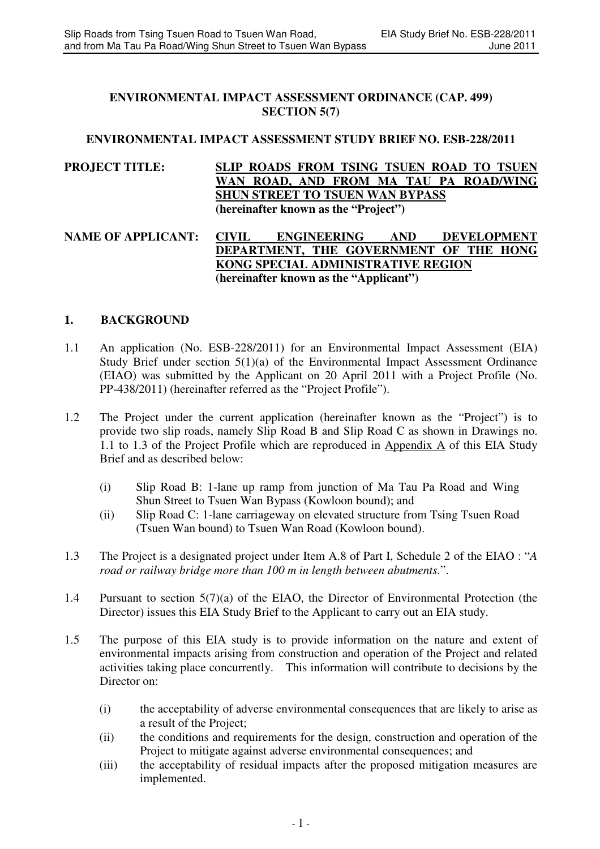### **ENVIRONMENTAL IMPACT ASSESSMENT ORDINANCE (CAP. 499) SECTION 5(7)**

## **ENVIRONMENTAL IMPACT ASSESSMENT STUDY BRIEF NO. ESB-228/2011**

## **PROJECT TITLE: SLIP ROADS FROM TSING TSUEN ROAD TO TSUEN WAN ROAD, AND FROM MA TAU PA ROAD/WING SHUN STREET TO TSUEN WAN BYPASS (hereinafter known as the "Project")**

### NAME OF APPLICANT: CIVIL ENGINEERING AND DEVELOPMENT<br>DEPARTMENT, THE GOVERNMENT OF THE HONG **DEPARTMENT, THE GOVERNMENT KONG SPECIAL ADMINISTRATIVE REGION (hereinafter known as the "Applicant")**

### **1. BACKGROUND**

- 1.1 An application (No. ESB-228/2011) for an Environmental Impact Assessment (EIA) Study Brief under section 5(1)(a) of the Environmental Impact Assessment Ordinance (EIAO) was submitted by the Applicant on 20 April 2011 with a Project Profile (No. PP-438/2011) (hereinafter referred as the "Project Profile").
- 1.2 The Project under the current application (hereinafter known as the "Project") is to provide two slip roads, namely Slip Road B and Slip Road C as shown in Drawings no. 1.1 to 1.3 of the Project Profile which are reproduced in Appendix A of this EIA Study Brief and as described below:
	- (i) Slip Road B: 1-lane up ramp from junction of Ma Tau Pa Road and Wing Shun Street to Tsuen Wan Bypass (Kowloon bound); and
	- (ii) Slip Road C: 1-lane carriageway on elevated structure from Tsing Tsuen Road (Tsuen Wan bound) to Tsuen Wan Road (Kowloon bound).
- 1.3 The Project is a designated project under Item A.8 of Part I, Schedule 2 of the EIAO : "*A road or railway bridge more than 100 m in length between abutments.*".
- 1.4 Pursuant to section 5(7)(a) of the EIAO, the Director of Environmental Protection (the Director) issues this EIA Study Brief to the Applicant to carry out an EIA study.
- 1.5 The purpose of this EIA study is to provide information on the nature and extent of environmental impacts arising from construction and operation of the Project and related activities taking place concurrently. This information will contribute to decisions by the Director on:
	- (i) the acceptability of adverse environmental consequences that are likely to arise as a result of the Project;
	- (ii) the conditions and requirements for the design, construction and operation of the Project to mitigate against adverse environmental consequences; and
	- (iii) the acceptability of residual impacts after the proposed mitigation measures are implemented.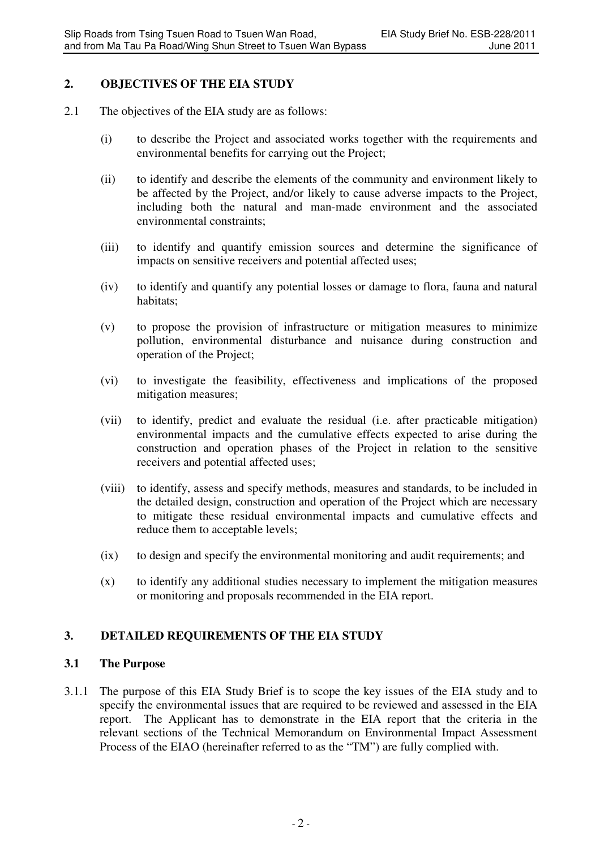## **2. OBJECTIVES OF THE EIA STUDY**

- 2.1 The objectives of the EIA study are as follows:
	- (i) to describe the Project and associated works together with the requirements and environmental benefits for carrying out the Project;
	- (ii) to identify and describe the elements of the community and environment likely to be affected by the Project, and/or likely to cause adverse impacts to the Project, including both the natural and man-made environment and the associated environmental constraints;
	- (iii) to identify and quantify emission sources and determine the significance of impacts on sensitive receivers and potential affected uses;
	- (iv) to identify and quantify any potential losses or damage to flora, fauna and natural habitats;
	- (v) to propose the provision of infrastructure or mitigation measures to minimize pollution, environmental disturbance and nuisance during construction and operation of the Project;
	- (vi) to investigate the feasibility, effectiveness and implications of the proposed mitigation measures;
	- (vii) to identify, predict and evaluate the residual (i.e. after practicable mitigation) environmental impacts and the cumulative effects expected to arise during the construction and operation phases of the Project in relation to the sensitive receivers and potential affected uses;
	- (viii) to identify, assess and specify methods, measures and standards, to be included in the detailed design, construction and operation of the Project which are necessary to mitigate these residual environmental impacts and cumulative effects and reduce them to acceptable levels;
	- (ix) to design and specify the environmental monitoring and audit requirements; and
	- (x) to identify any additional studies necessary to implement the mitigation measures or monitoring and proposals recommended in the EIA report.

# **3. DETAILED REQUIREMENTS OF THE EIA STUDY**

# **3.1 The Purpose**

3.1.1 The purpose of this EIA Study Brief is to scope the key issues of the EIA study and to specify the environmental issues that are required to be reviewed and assessed in the EIA report. The Applicant has to demonstrate in the EIA report that the criteria in the relevant sections of the Technical Memorandum on Environmental Impact Assessment Process of the EIAO (hereinafter referred to as the "TM") are fully complied with.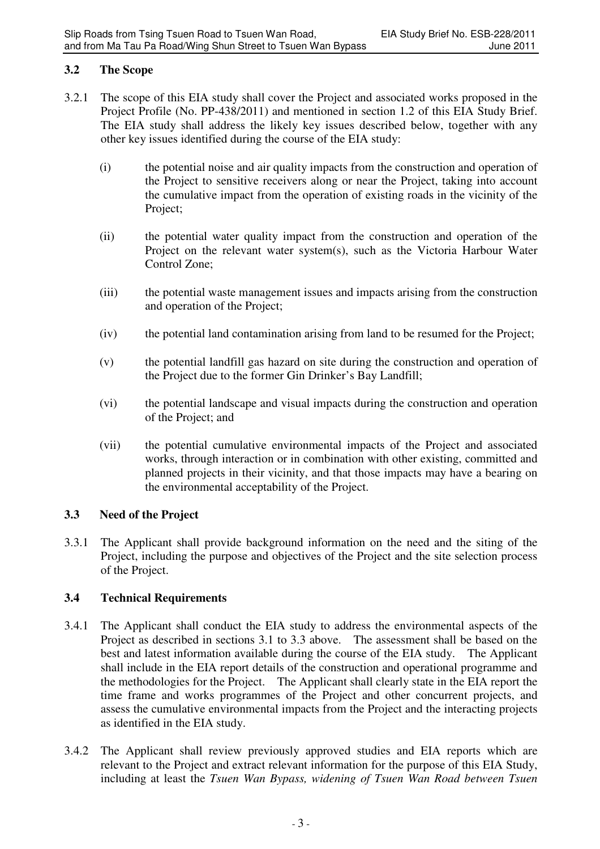# **3.2 The Scope**

- 3.2.1 The scope of this EIA study shall cover the Project and associated works proposed in the Project Profile (No. PP-438/2011) and mentioned in section 1.2 of this EIA Study Brief. The EIA study shall address the likely key issues described below, together with any other key issues identified during the course of the EIA study:
	- (i) the potential noise and air quality impacts from the construction and operation of the Project to sensitive receivers along or near the Project, taking into account the cumulative impact from the operation of existing roads in the vicinity of the Project;
	- (ii) the potential water quality impact from the construction and operation of the Project on the relevant water system(s), such as the Victoria Harbour Water Control Zone;
	- (iii) the potential waste management issues and impacts arising from the construction and operation of the Project;
	- (iv) the potential land contamination arising from land to be resumed for the Project;
	- (v) the potential landfill gas hazard on site during the construction and operation of the Project due to the former Gin Drinker's Bay Landfill;
	- (vi) the potential landscape and visual impacts during the construction and operation of the Project; and
	- (vii) the potential cumulative environmental impacts of the Project and associated works, through interaction or in combination with other existing, committed and planned projects in their vicinity, and that those impacts may have a bearing on the environmental acceptability of the Project.

# **3.3 Need of the Project**

3.3.1 The Applicant shall provide background information on the need and the siting of the Project, including the purpose and objectives of the Project and the site selection process of the Project.

# **3.4 Technical Requirements**

- 3.4.1 The Applicant shall conduct the EIA study to address the environmental aspects of the Project as described in sections 3.1 to 3.3 above. The assessment shall be based on the best and latest information available during the course of the EIA study. The Applicant shall include in the EIA report details of the construction and operational programme and the methodologies for the Project. The Applicant shall clearly state in the EIA report the time frame and works programmes of the Project and other concurrent projects, and assess the cumulative environmental impacts from the Project and the interacting projects as identified in the EIA study.
- 3.4.2 The Applicant shall review previously approved studies and EIA reports which are relevant to the Project and extract relevant information for the purpose of this EIA Study, including at least the *Tsuen Wan Bypass, widening of Tsuen Wan Road between Tsuen*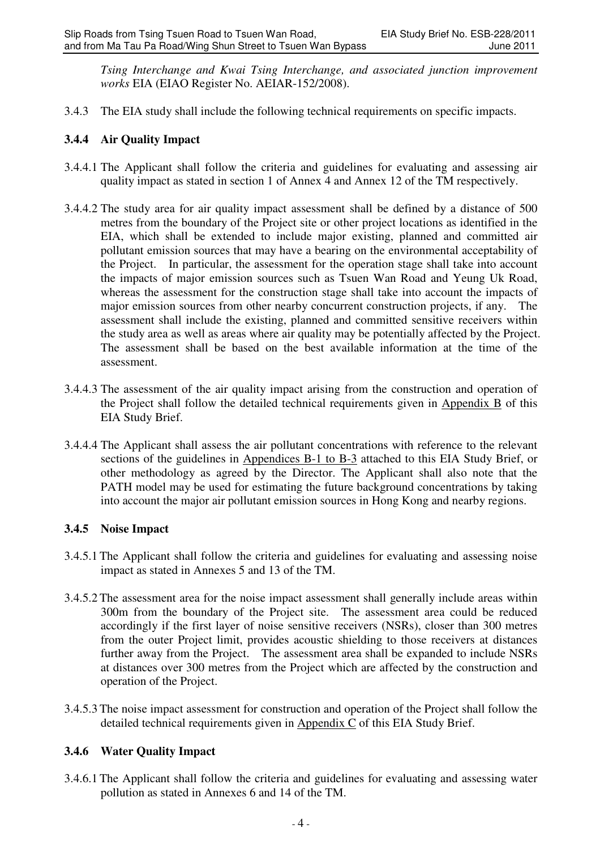*Tsing Interchange and Kwai Tsing Interchange, and associated junction improvement works* EIA (EIAO Register No. AEIAR-152/2008).

3.4.3 The EIA study shall include the following technical requirements on specific impacts.

# **3.4.4 Air Quality Impact**

- 3.4.4.1 The Applicant shall follow the criteria and guidelines for evaluating and assessing air quality impact as stated in section 1 of Annex 4 and Annex 12 of the TM respectively.
- 3.4.4.2 The study area for air quality impact assessment shall be defined by a distance of 500 metres from the boundary of the Project site or other project locations as identified in the EIA, which shall be extended to include major existing, planned and committed air pollutant emission sources that may have a bearing on the environmental acceptability of the Project. In particular, the assessment for the operation stage shall take into account the impacts of major emission sources such as Tsuen Wan Road and Yeung Uk Road, whereas the assessment for the construction stage shall take into account the impacts of major emission sources from other nearby concurrent construction projects, if any. The assessment shall include the existing, planned and committed sensitive receivers within the study area as well as areas where air quality may be potentially affected by the Project. The assessment shall be based on the best available information at the time of the assessment.
- 3.4.4.3 The assessment of the air quality impact arising from the construction and operation of the Project shall follow the detailed technical requirements given in Appendix B of this EIA Study Brief.
- 3.4.4.4 The Applicant shall assess the air pollutant concentrations with reference to the relevant sections of the guidelines in Appendices B-1 to B-3 attached to this EIA Study Brief, or other methodology as agreed by the Director. The Applicant shall also note that the PATH model may be used for estimating the future background concentrations by taking into account the major air pollutant emission sources in Hong Kong and nearby regions.

# **3.4.5 Noise Impact**

- 3.4.5.1 The Applicant shall follow the criteria and guidelines for evaluating and assessing noise impact as stated in Annexes 5 and 13 of the TM.
- 3.4.5.2 The assessment area for the noise impact assessment shall generally include areas within 300m from the boundary of the Project site. The assessment area could be reduced accordingly if the first layer of noise sensitive receivers (NSRs), closer than 300 metres from the outer Project limit, provides acoustic shielding to those receivers at distances further away from the Project. The assessment area shall be expanded to include NSRs at distances over 300 metres from the Project which are affected by the construction and operation of the Project.
- 3.4.5.3 The noise impact assessment for construction and operation of the Project shall follow the detailed technical requirements given in Appendix C of this EIA Study Brief.

# **3.4.6 Water Quality Impact**

3.4.6.1 The Applicant shall follow the criteria and guidelines for evaluating and assessing water pollution as stated in Annexes 6 and 14 of the TM.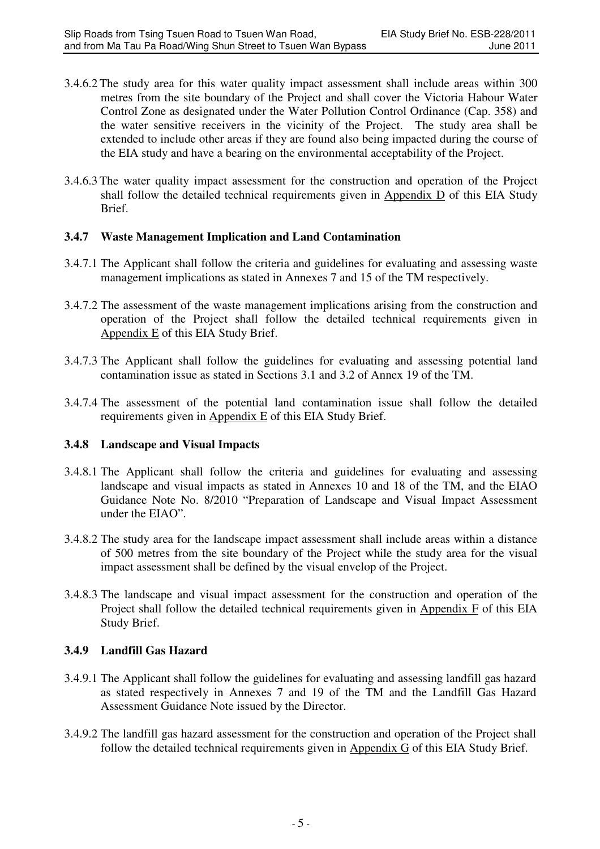- 3.4.6.2 The study area for this water quality impact assessment shall include areas within 300 metres from the site boundary of the Project and shall cover the Victoria Habour Water Control Zone as designated under the Water Pollution Control Ordinance (Cap. 358) and the water sensitive receivers in the vicinity of the Project. The study area shall be extended to include other areas if they are found also being impacted during the course of the EIA study and have a bearing on the environmental acceptability of the Project.
- 3.4.6.3 The water quality impact assessment for the construction and operation of the Project shall follow the detailed technical requirements given in Appendix D of this EIA Study Brief.

### **3.4.7 Waste Management Implication and Land Contamination**

- 3.4.7.1 The Applicant shall follow the criteria and guidelines for evaluating and assessing waste management implications as stated in Annexes 7 and 15 of the TM respectively.
- 3.4.7.2 The assessment of the waste management implications arising from the construction and operation of the Project shall follow the detailed technical requirements given in Appendix E of this EIA Study Brief.
- 3.4.7.3 The Applicant shall follow the guidelines for evaluating and assessing potential land contamination issue as stated in Sections 3.1 and 3.2 of Annex 19 of the TM.
- 3.4.7.4 The assessment of the potential land contamination issue shall follow the detailed requirements given in Appendix E of this EIA Study Brief.

# **3.4.8 Landscape and Visual Impacts**

- 3.4.8.1 The Applicant shall follow the criteria and guidelines for evaluating and assessing landscape and visual impacts as stated in Annexes 10 and 18 of the TM, and the EIAO Guidance Note No. 8/2010 "Preparation of Landscape and Visual Impact Assessment under the EIAO".
- 3.4.8.2 The study area for the landscape impact assessment shall include areas within a distance of 500 metres from the site boundary of the Project while the study area for the visual impact assessment shall be defined by the visual envelop of the Project.
- 3.4.8.3 The landscape and visual impact assessment for the construction and operation of the Project shall follow the detailed technical requirements given in Appendix F of this EIA Study Brief.

# **3.4.9 Landfill Gas Hazard**

- 3.4.9.1 The Applicant shall follow the guidelines for evaluating and assessing landfill gas hazard as stated respectively in Annexes 7 and 19 of the TM and the Landfill Gas Hazard Assessment Guidance Note issued by the Director.
- 3.4.9.2 The landfill gas hazard assessment for the construction and operation of the Project shall follow the detailed technical requirements given in Appendix G of this EIA Study Brief.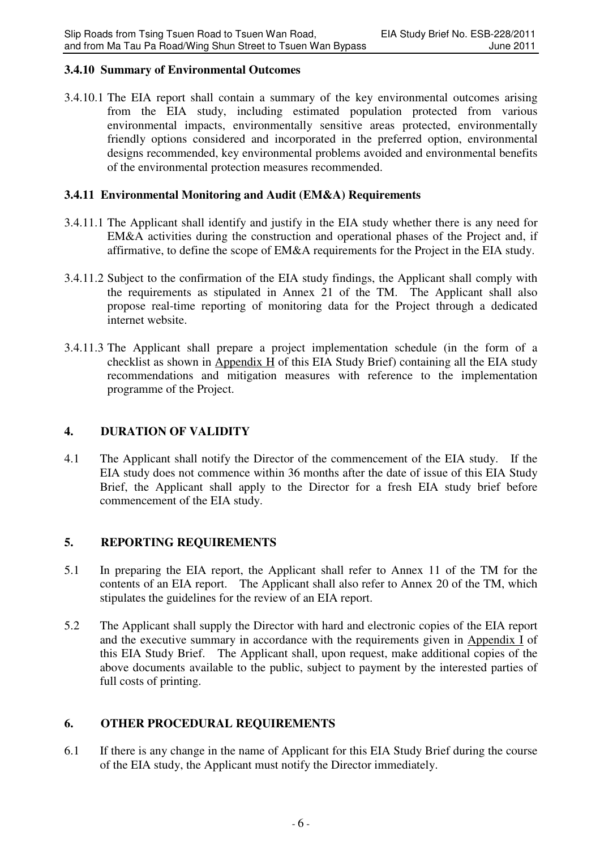### **3.4.10 Summary of Environmental Outcomes**

3.4.10.1 The EIA report shall contain a summary of the key environmental outcomes arising from the EIA study, including estimated population protected from various environmental impacts, environmentally sensitive areas protected, environmentally friendly options considered and incorporated in the preferred option, environmental designs recommended, key environmental problems avoided and environmental benefits of the environmental protection measures recommended.

### **3.4.11 Environmental Monitoring and Audit (EM&A) Requirements**

- 3.4.11.1 The Applicant shall identify and justify in the EIA study whether there is any need for EM&A activities during the construction and operational phases of the Project and, if affirmative, to define the scope of EM&A requirements for the Project in the EIA study.
- 3.4.11.2 Subject to the confirmation of the EIA study findings, the Applicant shall comply with the requirements as stipulated in Annex 21 of the TM. The Applicant shall also propose real-time reporting of monitoring data for the Project through a dedicated internet website.
- 3.4.11.3 The Applicant shall prepare a project implementation schedule (in the form of a checklist as shown in Appendix H of this EIA Study Brief) containing all the EIA study recommendations and mitigation measures with reference to the implementation programme of the Project.

### **4. DURATION OF VALIDITY**

4.1 The Applicant shall notify the Director of the commencement of the EIA study. If the EIA study does not commence within 36 months after the date of issue of this EIA Study Brief, the Applicant shall apply to the Director for a fresh EIA study brief before commencement of the EIA study.

### **5. REPORTING REQUIREMENTS**

- 5.1 In preparing the EIA report, the Applicant shall refer to Annex 11 of the TM for the contents of an EIA report. The Applicant shall also refer to Annex 20 of the TM, which stipulates the guidelines for the review of an EIA report.
- 5.2 The Applicant shall supply the Director with hard and electronic copies of the EIA report and the executive summary in accordance with the requirements given in Appendix I of this EIA Study Brief. The Applicant shall, upon request, make additional copies of the above documents available to the public, subject to payment by the interested parties of full costs of printing.

# **6. OTHER PROCEDURAL REQUIREMENTS**

6.1 If there is any change in the name of Applicant for this EIA Study Brief during the course of the EIA study, the Applicant must notify the Director immediately.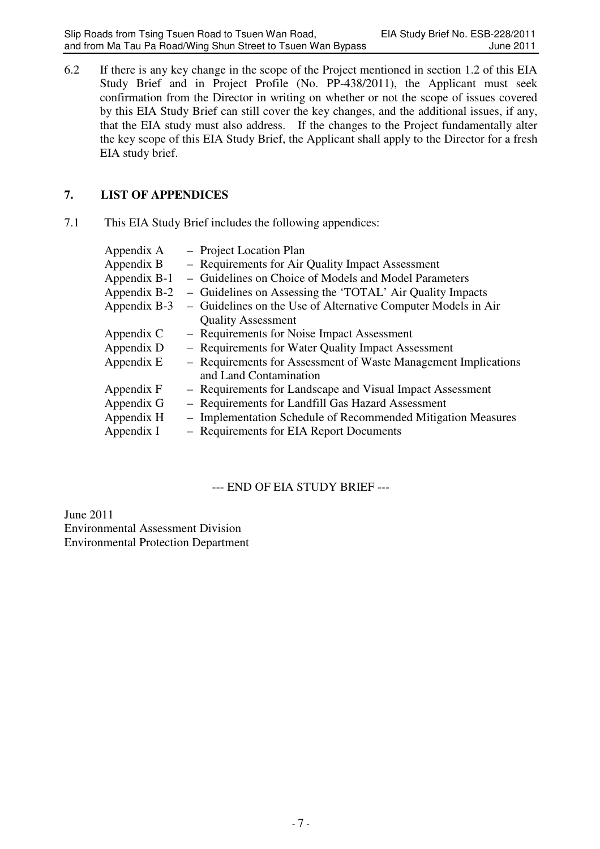6.2 If there is any key change in the scope of the Project mentioned in section 1.2 of this EIA Study Brief and in Project Profile (No. PP-438/2011), the Applicant must seek confirmation from the Director in writing on whether or not the scope of issues covered by this EIA Study Brief can still cover the key changes, and the additional issues, if any, that the EIA study must also address. If the changes to the Project fundamentally alter the key scope of this EIA Study Brief, the Applicant shall apply to the Director for a fresh EIA study brief.

# **7. LIST OF APPENDICES**

7.1 This EIA Study Brief includes the following appendices:

| Appendix A   | - Project Location Plan                                        |
|--------------|----------------------------------------------------------------|
| Appendix B   | - Requirements for Air Quality Impact Assessment               |
| Appendix B-1 | - Guidelines on Choice of Models and Model Parameters          |
| Appendix B-2 | - Guidelines on Assessing the 'TOTAL' Air Quality Impacts      |
| Appendix B-3 | - Guidelines on the Use of Alternative Computer Models in Air  |
|              | <b>Quality Assessment</b>                                      |
| Appendix C   | - Requirements for Noise Impact Assessment                     |
| Appendix D   | - Requirements for Water Quality Impact Assessment             |
| Appendix E   | - Requirements for Assessment of Waste Management Implications |
|              | and Land Contamination                                         |
| Appendix F   | - Requirements for Landscape and Visual Impact Assessment      |
| Appendix G   | - Requirements for Landfill Gas Hazard Assessment              |
| Appendix H   | - Implementation Schedule of Recommended Mitigation Measures   |
| Appendix I   | - Requirements for EIA Report Documents                        |
|              |                                                                |

--- END OF EIA STUDY BRIEF ---

June 2011 Environmental Assessment Division Environmental Protection Department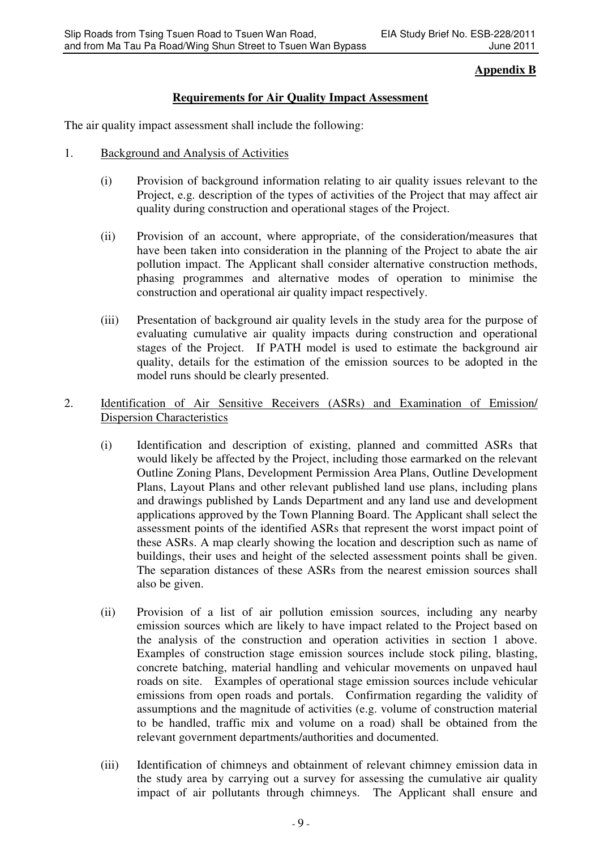# **Appendix B**

# **Requirements for Air Quality Impact Assessment**

The air quality impact assessment shall include the following:

- 1. Background and Analysis of Activities
	- (i) Provision of background information relating to air quality issues relevant to the Project, e.g. description of the types of activities of the Project that may affect air quality during construction and operational stages of the Project.
	- (ii) Provision of an account, where appropriate, of the consideration/measures that have been taken into consideration in the planning of the Project to abate the air pollution impact. The Applicant shall consider alternative construction methods, phasing programmes and alternative modes of operation to minimise the construction and operational air quality impact respectively.
	- (iii) Presentation of background air quality levels in the study area for the purpose of evaluating cumulative air quality impacts during construction and operational stages of the Project. If PATH model is used to estimate the background air quality, details for the estimation of the emission sources to be adopted in the model runs should be clearly presented.

### 2. Identification of Air Sensitive Receivers (ASRs) and Examination of Emission/ Dispersion Characteristics

- (i) Identification and description of existing, planned and committed ASRs that would likely be affected by the Project, including those earmarked on the relevant Outline Zoning Plans, Development Permission Area Plans, Outline Development Plans, Layout Plans and other relevant published land use plans, including plans and drawings published by Lands Department and any land use and development applications approved by the Town Planning Board. The Applicant shall select the assessment points of the identified ASRs that represent the worst impact point of these ASRs. A map clearly showing the location and description such as name of buildings, their uses and height of the selected assessment points shall be given. The separation distances of these ASRs from the nearest emission sources shall also be given.
- (ii) Provision of a list of air pollution emission sources, including any nearby emission sources which are likely to have impact related to the Project based on the analysis of the construction and operation activities in section 1 above. Examples of construction stage emission sources include stock piling, blasting, concrete batching, material handling and vehicular movements on unpaved haul roads on site. Examples of operational stage emission sources include vehicular emissions from open roads and portals. Confirmation regarding the validity of assumptions and the magnitude of activities (e.g. volume of construction material to be handled, traffic mix and volume on a road) shall be obtained from the relevant government departments/authorities and documented.
- (iii) Identification of chimneys and obtainment of relevant chimney emission data in the study area by carrying out a survey for assessing the cumulative air quality impact of air pollutants through chimneys. The Applicant shall ensure and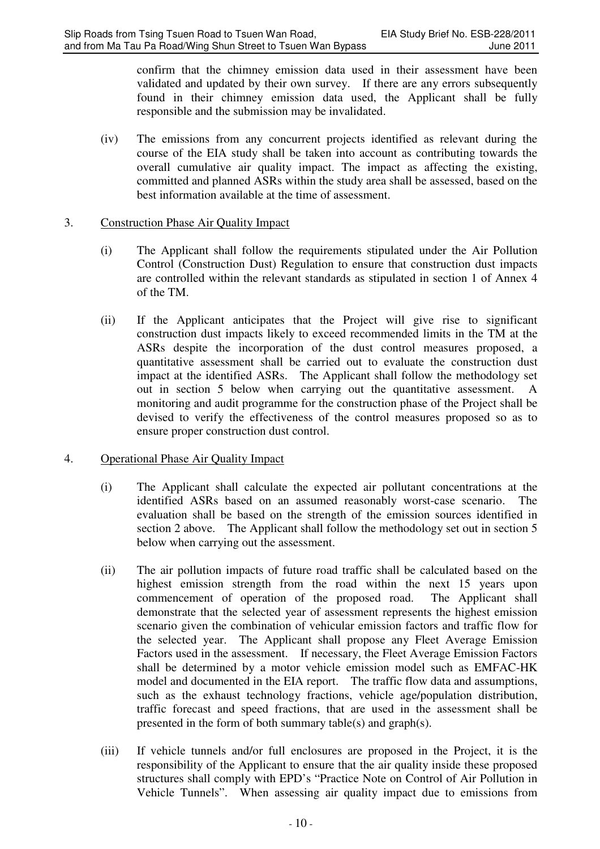confirm that the chimney emission data used in their assessment have been validated and updated by their own survey. If there are any errors subsequently found in their chimney emission data used, the Applicant shall be fully responsible and the submission may be invalidated.

(iv) The emissions from any concurrent projects identified as relevant during the course of the EIA study shall be taken into account as contributing towards the overall cumulative air quality impact. The impact as affecting the existing, committed and planned ASRs within the study area shall be assessed, based on the best information available at the time of assessment.

### 3. Construction Phase Air Quality Impact

- (i) The Applicant shall follow the requirements stipulated under the Air Pollution Control (Construction Dust) Regulation to ensure that construction dust impacts are controlled within the relevant standards as stipulated in section 1 of Annex 4 of the TM.
- (ii) If the Applicant anticipates that the Project will give rise to significant construction dust impacts likely to exceed recommended limits in the TM at the ASRs despite the incorporation of the dust control measures proposed, a quantitative assessment shall be carried out to evaluate the construction dust impact at the identified ASRs. The Applicant shall follow the methodology set out in section 5 below when carrying out the quantitative assessment. A monitoring and audit programme for the construction phase of the Project shall be devised to verify the effectiveness of the control measures proposed so as to ensure proper construction dust control.

# 4. Operational Phase Air Quality Impact

- (i) The Applicant shall calculate the expected air pollutant concentrations at the identified ASRs based on an assumed reasonably worst-case scenario. The evaluation shall be based on the strength of the emission sources identified in section 2 above. The Applicant shall follow the methodology set out in section 5 below when carrying out the assessment.
- (ii) The air pollution impacts of future road traffic shall be calculated based on the highest emission strength from the road within the next 15 years upon commencement of operation of the proposed road. The Applicant shall demonstrate that the selected year of assessment represents the highest emission scenario given the combination of vehicular emission factors and traffic flow for the selected year. The Applicant shall propose any Fleet Average Emission Factors used in the assessment. If necessary, the Fleet Average Emission Factors shall be determined by a motor vehicle emission model such as EMFAC-HK model and documented in the EIA report. The traffic flow data and assumptions, such as the exhaust technology fractions, vehicle age/population distribution, traffic forecast and speed fractions, that are used in the assessment shall be presented in the form of both summary table(s) and graph(s).
- (iii) If vehicle tunnels and/or full enclosures are proposed in the Project, it is the responsibility of the Applicant to ensure that the air quality inside these proposed structures shall comply with EPD's "Practice Note on Control of Air Pollution in Vehicle Tunnels". When assessing air quality impact due to emissions from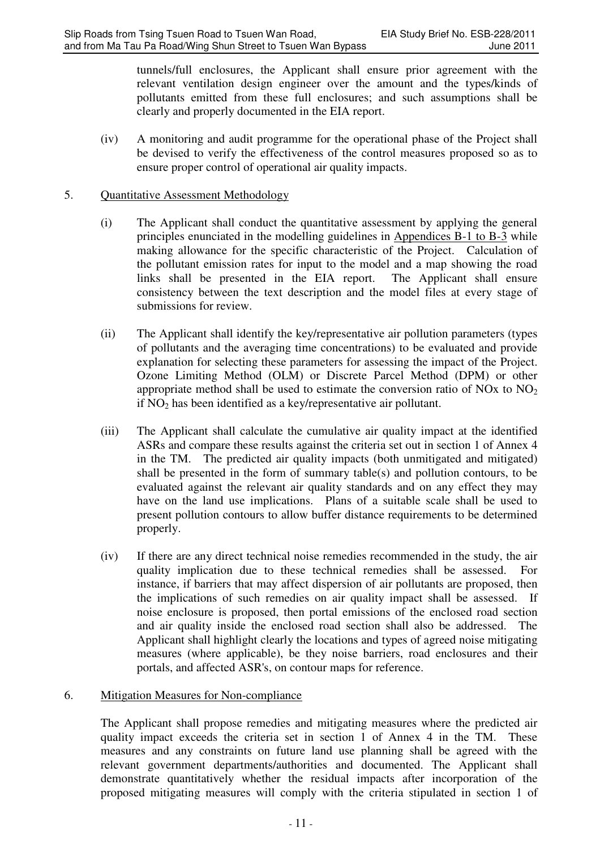tunnels/full enclosures, the Applicant shall ensure prior agreement with the relevant ventilation design engineer over the amount and the types/kinds of pollutants emitted from these full enclosures; and such assumptions shall be clearly and properly documented in the EIA report.

(iv) A monitoring and audit programme for the operational phase of the Project shall be devised to verify the effectiveness of the control measures proposed so as to ensure proper control of operational air quality impacts.

### 5. Quantitative Assessment Methodology

- (i) The Applicant shall conduct the quantitative assessment by applying the general principles enunciated in the modelling guidelines in Appendices B-1 to B-3 while making allowance for the specific characteristic of the Project. Calculation of the pollutant emission rates for input to the model and a map showing the road links shall be presented in the EIA report. The Applicant shall ensure consistency between the text description and the model files at every stage of submissions for review.
- (ii) The Applicant shall identify the key/representative air pollution parameters (types of pollutants and the averaging time concentrations) to be evaluated and provide explanation for selecting these parameters for assessing the impact of the Project. Ozone Limiting Method (OLM) or Discrete Parcel Method (DPM) or other appropriate method shall be used to estimate the conversion ratio of NOx to  $NO<sub>2</sub>$ if  $NO<sub>2</sub>$  has been identified as a key/representative air pollutant.
- (iii) The Applicant shall calculate the cumulative air quality impact at the identified ASRs and compare these results against the criteria set out in section 1 of Annex 4 in the TM. The predicted air quality impacts (both unmitigated and mitigated) shall be presented in the form of summary table(s) and pollution contours, to be evaluated against the relevant air quality standards and on any effect they may have on the land use implications. Plans of a suitable scale shall be used to present pollution contours to allow buffer distance requirements to be determined properly.
- (iv) If there are any direct technical noise remedies recommended in the study, the air quality implication due to these technical remedies shall be assessed. For instance, if barriers that may affect dispersion of air pollutants are proposed, then the implications of such remedies on air quality impact shall be assessed. If noise enclosure is proposed, then portal emissions of the enclosed road section and air quality inside the enclosed road section shall also be addressed. The Applicant shall highlight clearly the locations and types of agreed noise mitigating measures (where applicable), be they noise barriers, road enclosures and their portals, and affected ASR's, on contour maps for reference.

# 6. Mitigation Measures for Non-compliance

The Applicant shall propose remedies and mitigating measures where the predicted air quality impact exceeds the criteria set in section 1 of Annex 4 in the TM. These measures and any constraints on future land use planning shall be agreed with the relevant government departments/authorities and documented. The Applicant shall demonstrate quantitatively whether the residual impacts after incorporation of the proposed mitigating measures will comply with the criteria stipulated in section 1 of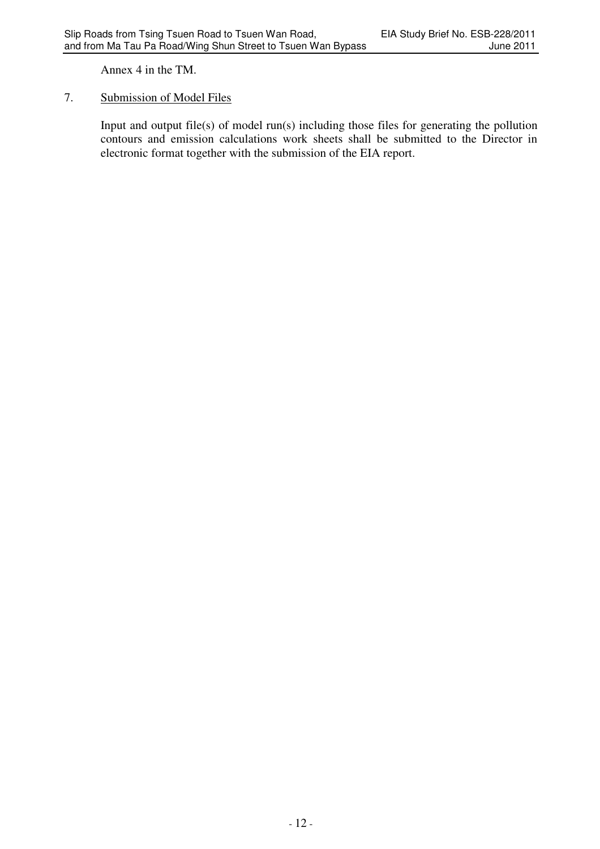Annex 4 in the TM.

# 7. Submission of Model Files

Input and output file(s) of model run(s) including those files for generating the pollution contours and emission calculations work sheets shall be submitted to the Director in electronic format together with the submission of the EIA report.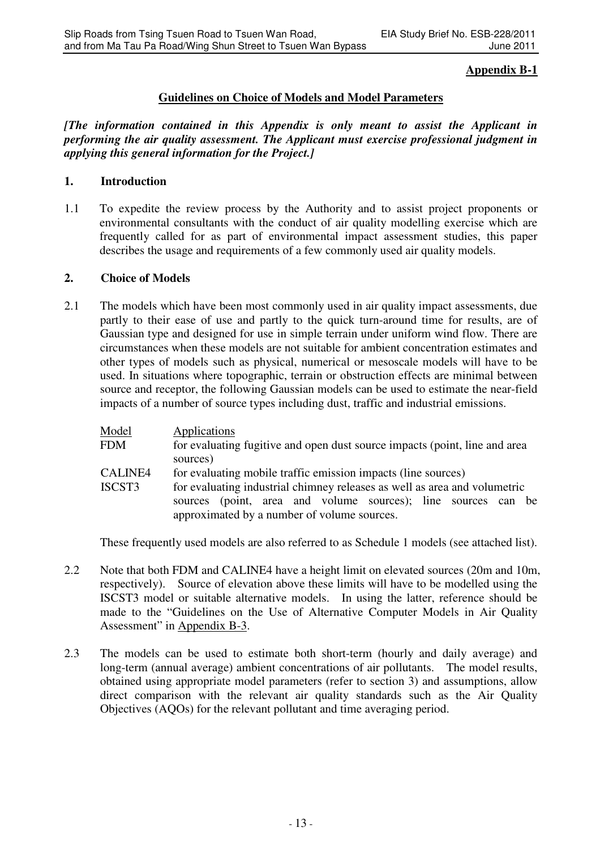# **Appendix B-1**

## **Guidelines on Choice of Models and Model Parameters**

*[The information contained in this Appendix is only meant to assist the Applicant in performing the air quality assessment. The Applicant must exercise professional judgment in applying this general information for the Project.]*

### **1. Introduction**

1.1 To expedite the review process by the Authority and to assist project proponents or environmental consultants with the conduct of air quality modelling exercise which are frequently called for as part of environmental impact assessment studies, this paper describes the usage and requirements of a few commonly used air quality models.

### **2. Choice of Models**

2.1 The models which have been most commonly used in air quality impact assessments, due partly to their ease of use and partly to the quick turn-around time for results, are of Gaussian type and designed for use in simple terrain under uniform wind flow. There are circumstances when these models are not suitable for ambient concentration estimates and other types of models such as physical, numerical or mesoscale models will have to be used. In situations where topographic, terrain or obstruction effects are minimal between source and receptor, the following Gaussian models can be used to estimate the near-field impacts of a number of source types including dust, traffic and industrial emissions.

| Model<br>Applications                                                                                        |                                                                            |  |  |  |
|--------------------------------------------------------------------------------------------------------------|----------------------------------------------------------------------------|--|--|--|
| FDM                                                                                                          | for evaluating fugitive and open dust source impacts (point, line and area |  |  |  |
| sources)                                                                                                     |                                                                            |  |  |  |
| CALINE4<br>for evaluating mobile traffic emission impacts (line sources)                                     |                                                                            |  |  |  |
| for evaluating industrial chimney releases as well as area and volumetric<br>ISCST3                          |                                                                            |  |  |  |
| sources (point, area and volume sources); line sources can be<br>approximated by a number of volume sources. |                                                                            |  |  |  |

These frequently used models are also referred to as Schedule 1 models (see attached list).

- 2.2 Note that both FDM and CALINE4 have a height limit on elevated sources (20m and 10m, respectively). Source of elevation above these limits will have to be modelled using the ISCST3 model or suitable alternative models. In using the latter, reference should be made to the "Guidelines on the Use of Alternative Computer Models in Air Quality Assessment" in Appendix B-3.
- 2.3 The models can be used to estimate both short-term (hourly and daily average) and long-term (annual average) ambient concentrations of air pollutants. The model results, obtained using appropriate model parameters (refer to section 3) and assumptions, allow direct comparison with the relevant air quality standards such as the Air Quality Objectives (AQOs) for the relevant pollutant and time averaging period.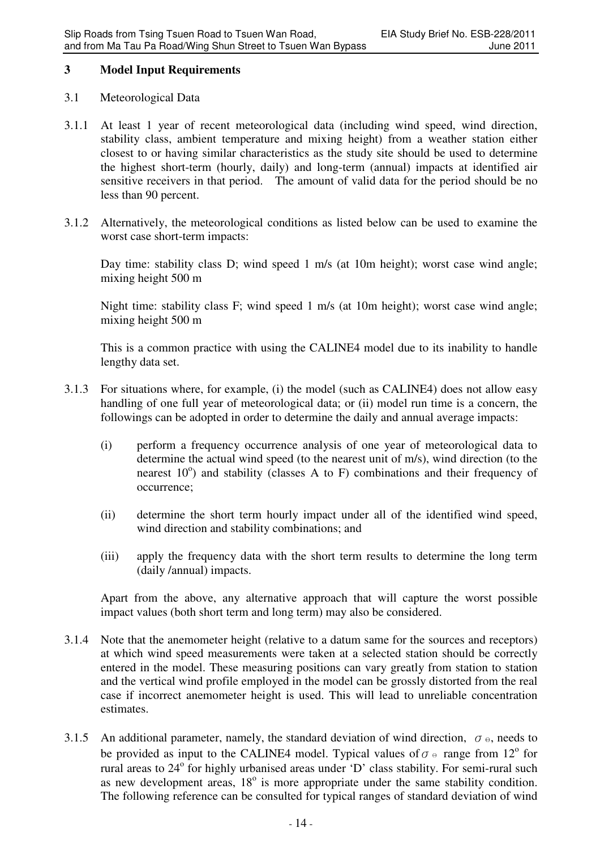## **3 Model Input Requirements**

## 3.1 Meteorological Data

- 3.1.1 At least 1 year of recent meteorological data (including wind speed, wind direction, stability class, ambient temperature and mixing height) from a weather station either closest to or having similar characteristics as the study site should be used to determine the highest short-term (hourly, daily) and long-term (annual) impacts at identified air sensitive receivers in that period. The amount of valid data for the period should be no less than 90 percent.
- 3.1.2 Alternatively, the meteorological conditions as listed below can be used to examine the worst case short-term impacts:

Day time: stability class D; wind speed 1 m/s (at 10m height); worst case wind angle; mixing height 500 m

Night time: stability class F; wind speed 1 m/s (at 10m height); worst case wind angle; mixing height 500 m

This is a common practice with using the CALINE4 model due to its inability to handle lengthy data set.

- 3.1.3 For situations where, for example, (i) the model (such as CALINE4) does not allow easy handling of one full year of meteorological data; or (ii) model run time is a concern, the followings can be adopted in order to determine the daily and annual average impacts:
	- (i) perform a frequency occurrence analysis of one year of meteorological data to determine the actual wind speed (to the nearest unit of m/s), wind direction (to the nearest 10°) and stability (classes A to F) combinations and their frequency of occurrence;
	- (ii) determine the short term hourly impact under all of the identified wind speed, wind direction and stability combinations; and
	- (iii) apply the frequency data with the short term results to determine the long term (daily /annual) impacts.

Apart from the above, any alternative approach that will capture the worst possible impact values (both short term and long term) may also be considered.

- 3.1.4 Note that the anemometer height (relative to a datum same for the sources and receptors) at which wind speed measurements were taken at a selected station should be correctly entered in the model. These measuring positions can vary greatly from station to station and the vertical wind profile employed in the model can be grossly distorted from the real case if incorrect anemometer height is used. This will lead to unreliable concentration estimates.
- 3.1.5 An additional parameter, namely, the standard deviation of wind direction,  $\sigma_{\theta}$ , needs to be provided as input to the CALINE4 model. Typical values of  $\sigma \circ$  range from 12<sup>o</sup> for rural areas to 24° for highly urbanised areas under 'D' class stability. For semi-rural such as new development areas,  $18^\circ$  is more appropriate under the same stability condition. The following reference can be consulted for typical ranges of standard deviation of wind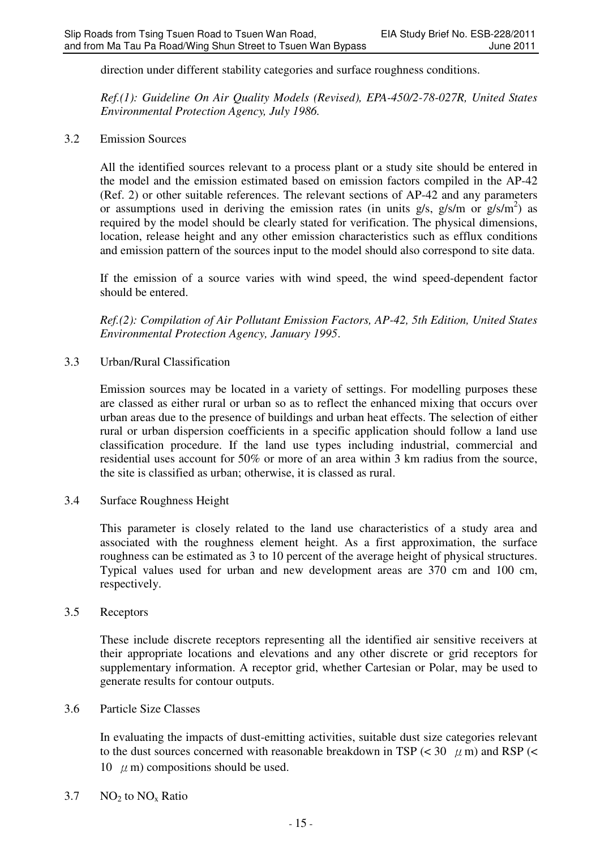direction under different stability categories and surface roughness conditions.

*Ref.(1): Guideline On Air Quality Models (Revised), EPA-450/2-78-027R, United States Environmental Protection Agency, July 1986.* 

3.2 Emission Sources

All the identified sources relevant to a process plant or a study site should be entered in the model and the emission estimated based on emission factors compiled in the AP-42 (Ref. 2) or other suitable references. The relevant sections of AP-42 and any parameters or assumptions used in deriving the emission rates (in units  $g/s$ ,  $g/s/m$  or  $g/s/m<sup>2</sup>$ ) as required by the model should be clearly stated for verification. The physical dimensions, location, release height and any other emission characteristics such as efflux conditions and emission pattern of the sources input to the model should also correspond to site data.

If the emission of a source varies with wind speed, the wind speed-dependent factor should be entered.

*Ref.(2): Compilation of Air Pollutant Emission Factors, AP-42, 5th Edition, United States Environmental Protection Agency, January 1995*.

3.3 Urban/Rural Classification

Emission sources may be located in a variety of settings. For modelling purposes these are classed as either rural or urban so as to reflect the enhanced mixing that occurs over urban areas due to the presence of buildings and urban heat effects. The selection of either rural or urban dispersion coefficients in a specific application should follow a land use classification procedure. If the land use types including industrial, commercial and residential uses account for 50% or more of an area within 3 km radius from the source, the site is classified as urban; otherwise, it is classed as rural.

3.4 Surface Roughness Height

This parameter is closely related to the land use characteristics of a study area and associated with the roughness element height. As a first approximation, the surface roughness can be estimated as 3 to 10 percent of the average height of physical structures. Typical values used for urban and new development areas are 370 cm and 100 cm, respectively.

### 3.5 Receptors

These include discrete receptors representing all the identified air sensitive receivers at their appropriate locations and elevations and any other discrete or grid receptors for supplementary information. A receptor grid, whether Cartesian or Polar, may be used to generate results for contour outputs.

### 3.6 Particle Size Classes

In evaluating the impacts of dust-emitting activities, suitable dust size categories relevant to the dust sources concerned with reasonable breakdown in TSP ( $<$  30  $\mu$  m) and RSP ( $<$ 10  $\mu$  m) compositions should be used.

 $3.7$  NO<sub>2</sub> to NO<sub>x</sub> Ratio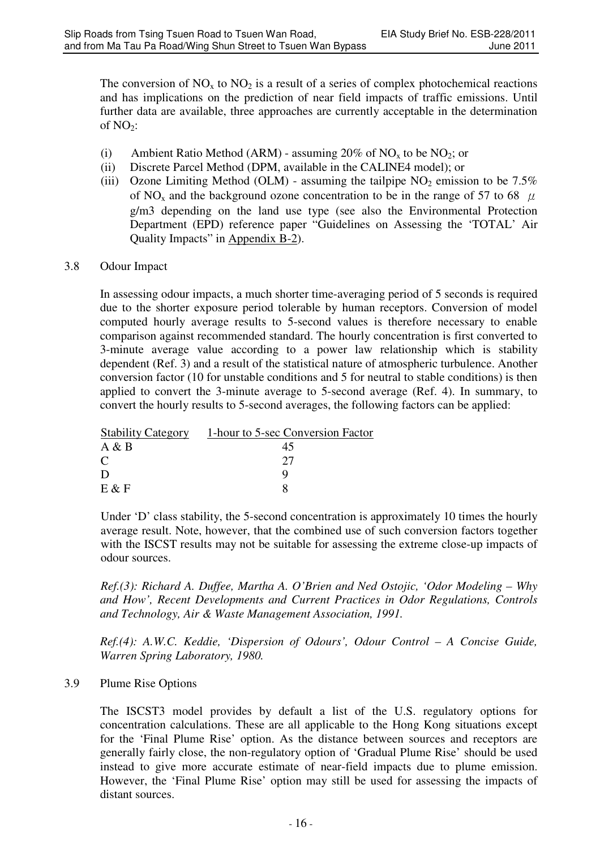The conversion of  $NO_x$  to  $NO_2$  is a result of a series of complex photochemical reactions and has implications on the prediction of near field impacts of traffic emissions. Until further data are available, three approaches are currently acceptable in the determination of  $NO<sub>2</sub>$ :

- (i) Ambient Ratio Method (ARM) assuming 20% of  $NO<sub>x</sub>$  to be  $NO<sub>2</sub>$ ; or
- (ii) Discrete Parcel Method (DPM, available in the CALINE4 model); or
- (iii) Ozone Limiting Method (OLM) assuming the tailpipe  $NO<sub>2</sub>$  emission to be 7.5% of NO<sub>x</sub> and the background ozone concentration to be in the range of 57 to 68  $\mu$ g/m3 depending on the land use type (see also the Environmental Protection Department (EPD) reference paper "Guidelines on Assessing the 'TOTAL' Air Quality Impacts" in Appendix B-2).

# 3.8 Odour Impact

In assessing odour impacts, a much shorter time-averaging period of 5 seconds is required due to the shorter exposure period tolerable by human receptors. Conversion of model computed hourly average results to 5-second values is therefore necessary to enable comparison against recommended standard. The hourly concentration is first converted to 3-minute average value according to a power law relationship which is stability dependent (Ref. 3) and a result of the statistical nature of atmospheric turbulence. Another conversion factor (10 for unstable conditions and 5 for neutral to stable conditions) is then applied to convert the 3-minute average to 5-second average (Ref. 4). In summary, to convert the hourly results to 5-second averages, the following factors can be applied:

| <b>Stability Category</b> | 1-hour to 5-sec Conversion Factor |
|---------------------------|-----------------------------------|
| A & B                     | 45                                |
| C                         | フフ                                |
| D                         |                                   |
| $E \& F$                  |                                   |

Under 'D' class stability, the 5-second concentration is approximately 10 times the hourly average result. Note, however, that the combined use of such conversion factors together with the ISCST results may not be suitable for assessing the extreme close-up impacts of odour sources.

*Ref.(3): Richard A. Duffee, Martha A. O'Brien and Ned Ostojic, 'Odor Modeling – Why and How', Recent Developments and Current Practices in Odor Regulations, Controls and Technology, Air & Waste Management Association, 1991.* 

*Ref.(4): A.W.C. Keddie, 'Dispersion of Odours', Odour Control – A Concise Guide, Warren Spring Laboratory, 1980.* 

# 3.9 Plume Rise Options

The ISCST3 model provides by default a list of the U.S. regulatory options for concentration calculations. These are all applicable to the Hong Kong situations except for the 'Final Plume Rise' option. As the distance between sources and receptors are generally fairly close, the non-regulatory option of 'Gradual Plume Rise' should be used instead to give more accurate estimate of near-field impacts due to plume emission. However, the 'Final Plume Rise' option may still be used for assessing the impacts of distant sources.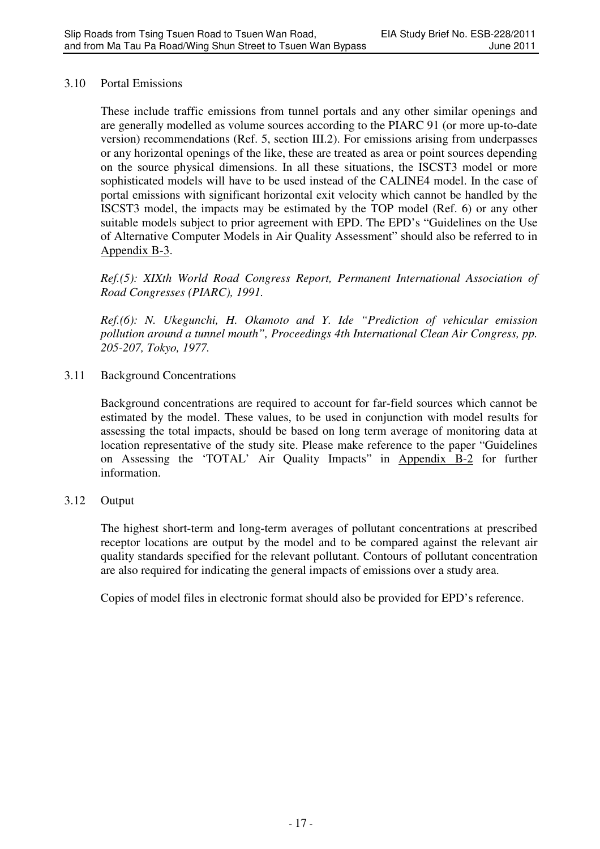### 3.10 Portal Emissions

These include traffic emissions from tunnel portals and any other similar openings and are generally modelled as volume sources according to the PIARC 91 (or more up-to-date version) recommendations (Ref. 5, section III.2). For emissions arising from underpasses or any horizontal openings of the like, these are treated as area or point sources depending on the source physical dimensions. In all these situations, the ISCST3 model or more sophisticated models will have to be used instead of the CALINE4 model. In the case of portal emissions with significant horizontal exit velocity which cannot be handled by the ISCST3 model, the impacts may be estimated by the TOP model (Ref. 6) or any other suitable models subject to prior agreement with EPD. The EPD's "Guidelines on the Use of Alternative Computer Models in Air Quality Assessment" should also be referred to in Appendix B-3.

*Ref.(5): XIXth World Road Congress Report, Permanent International Association of Road Congresses (PIARC), 1991.* 

*Ref.(6): N. Ukegunchi, H. Okamoto and Y. Ide "Prediction of vehicular emission pollution around a tunnel mouth", Proceedings 4th International Clean Air Congress, pp. 205-207, Tokyo, 1977.* 

3.11 Background Concentrations

Background concentrations are required to account for far-field sources which cannot be estimated by the model. These values, to be used in conjunction with model results for assessing the total impacts, should be based on long term average of monitoring data at location representative of the study site. Please make reference to the paper "Guidelines on Assessing the 'TOTAL' Air Quality Impacts" in Appendix B-2 for further information.

# 3.12 Output

The highest short-term and long-term averages of pollutant concentrations at prescribed receptor locations are output by the model and to be compared against the relevant air quality standards specified for the relevant pollutant. Contours of pollutant concentration are also required for indicating the general impacts of emissions over a study area.

Copies of model files in electronic format should also be provided for EPD's reference.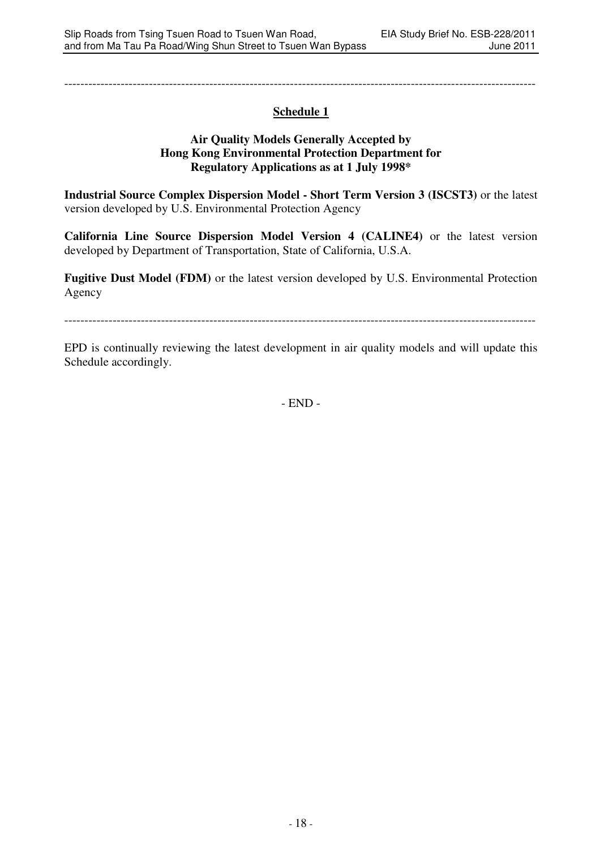---------------------------------------------------------------------------------------------------------------------

# **Schedule 1**

### **Air Quality Models Generally Accepted by Hong Kong Environmental Protection Department for Regulatory Applications as at 1 July 1998\***

**Industrial Source Complex Dispersion Model - Short Term Version 3 (ISCST3)** or the latest version developed by U.S. Environmental Protection Agency

**California Line Source Dispersion Model Version 4 (CALINE4)** or the latest version developed by Department of Transportation, State of California, U.S.A.

**Fugitive Dust Model (FDM)** or the latest version developed by U.S. Environmental Protection Agency

---------------------------------------------------------------------------------------------------------------------

EPD is continually reviewing the latest development in air quality models and will update this Schedule accordingly.

- END -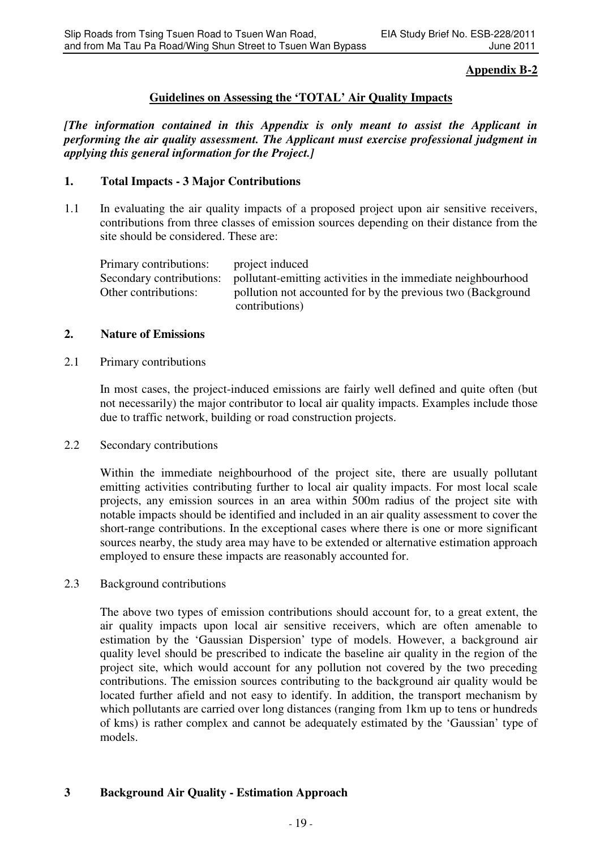# **Appendix B-2**

# **Guidelines on Assessing the 'TOTAL' Air Quality Impacts**

*[The information contained in this Appendix is only meant to assist the Applicant in performing the air quality assessment. The Applicant must exercise professional judgment in applying this general information for the Project.]*

### **1. Total Impacts - 3 Major Contributions**

1.1 In evaluating the air quality impacts of a proposed project upon air sensitive receivers, contributions from three classes of emission sources depending on their distance from the site should be considered. These are:

| Primary contributions:   | project induced                                              |
|--------------------------|--------------------------------------------------------------|
| Secondary contributions: | pollutant-emitting activities in the immediate neighbourhood |
| Other contributions:     | pollution not accounted for by the previous two (Background  |
|                          | contributions)                                               |

### **2. Nature of Emissions**

2.1 Primary contributions

In most cases, the project-induced emissions are fairly well defined and quite often (but not necessarily) the major contributor to local air quality impacts. Examples include those due to traffic network, building or road construction projects.

2.2 Secondary contributions

Within the immediate neighbourhood of the project site, there are usually pollutant emitting activities contributing further to local air quality impacts. For most local scale projects, any emission sources in an area within 500m radius of the project site with notable impacts should be identified and included in an air quality assessment to cover the short-range contributions. In the exceptional cases where there is one or more significant sources nearby, the study area may have to be extended or alternative estimation approach employed to ensure these impacts are reasonably accounted for.

2.3 Background contributions

The above two types of emission contributions should account for, to a great extent, the air quality impacts upon local air sensitive receivers, which are often amenable to estimation by the 'Gaussian Dispersion' type of models. However, a background air quality level should be prescribed to indicate the baseline air quality in the region of the project site, which would account for any pollution not covered by the two preceding contributions. The emission sources contributing to the background air quality would be located further afield and not easy to identify. In addition, the transport mechanism by which pollutants are carried over long distances (ranging from 1km up to tens or hundreds of kms) is rather complex and cannot be adequately estimated by the 'Gaussian' type of models.

# **3 Background Air Quality - Estimation Approach**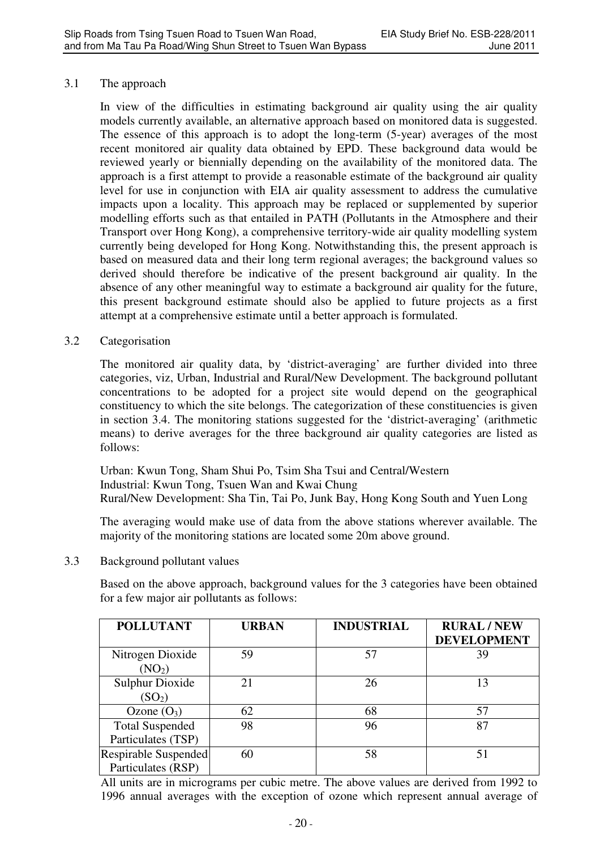## 3.1 The approach

In view of the difficulties in estimating background air quality using the air quality models currently available, an alternative approach based on monitored data is suggested. The essence of this approach is to adopt the long-term (5-year) averages of the most recent monitored air quality data obtained by EPD. These background data would be reviewed yearly or biennially depending on the availability of the monitored data. The approach is a first attempt to provide a reasonable estimate of the background air quality level for use in conjunction with EIA air quality assessment to address the cumulative impacts upon a locality. This approach may be replaced or supplemented by superior modelling efforts such as that entailed in PATH (Pollutants in the Atmosphere and their Transport over Hong Kong), a comprehensive territory-wide air quality modelling system currently being developed for Hong Kong. Notwithstanding this, the present approach is based on measured data and their long term regional averages; the background values so derived should therefore be indicative of the present background air quality. In the absence of any other meaningful way to estimate a background air quality for the future, this present background estimate should also be applied to future projects as a first attempt at a comprehensive estimate until a better approach is formulated.

### 3.2 Categorisation

The monitored air quality data, by 'district-averaging' are further divided into three categories, viz, Urban, Industrial and Rural/New Development. The background pollutant concentrations to be adopted for a project site would depend on the geographical constituency to which the site belongs. The categorization of these constituencies is given in section 3.4. The monitoring stations suggested for the 'district-averaging' (arithmetic means) to derive averages for the three background air quality categories are listed as follows:

Urban: Kwun Tong, Sham Shui Po, Tsim Sha Tsui and Central/Western Industrial: Kwun Tong, Tsuen Wan and Kwai Chung Rural/New Development: Sha Tin, Tai Po, Junk Bay, Hong Kong South and Yuen Long

The averaging would make use of data from the above stations wherever available. The majority of the monitoring stations are located some 20m above ground.

3.3 Background pollutant values

Based on the above approach, background values for the 3 categories have been obtained for a few major air pollutants as follows:

| <b>POLLUTANT</b>                             | <b>URBAN</b> | <b>INDUSTRIAL</b> | <b>RURAL/NEW</b><br><b>DEVELOPMENT</b> |
|----------------------------------------------|--------------|-------------------|----------------------------------------|
| Nitrogen Dioxide<br>(NO <sub>2</sub> )       | 59           | 57                | 39                                     |
| <b>Sulphur Dioxide</b><br>(SO <sub>2</sub> ) | 21           | 26                | 13                                     |
| Ozone $(O_3)$                                | 62           | 68                | 57                                     |
| <b>Total Suspended</b><br>Particulates (TSP) | 98           | 96                | 87                                     |
| Respirable Suspended<br>Particulates (RSP)   | 60           | 58                | 51                                     |

All units are in micrograms per cubic metre. The above values are derived from 1992 to 1996 annual averages with the exception of ozone which represent annual average of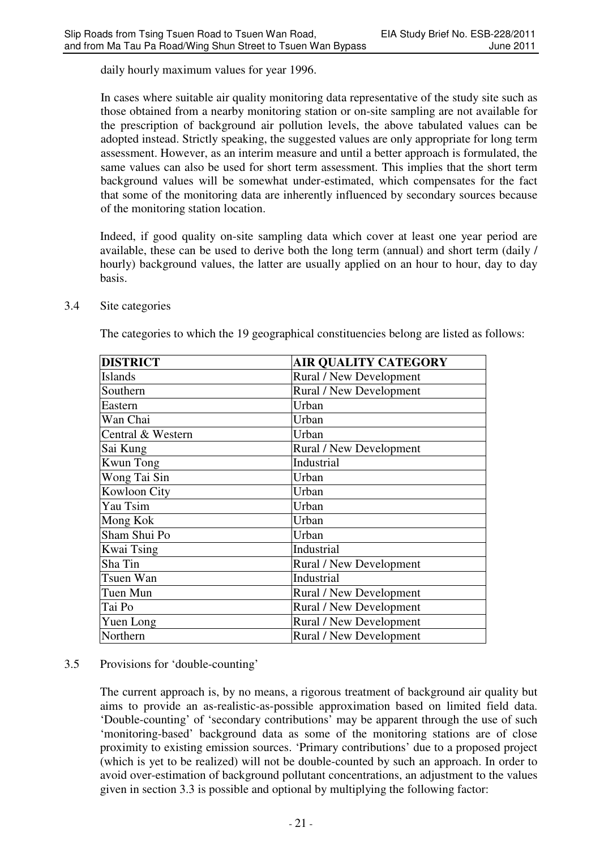daily hourly maximum values for year 1996.

In cases where suitable air quality monitoring data representative of the study site such as those obtained from a nearby monitoring station or on-site sampling are not available for the prescription of background air pollution levels, the above tabulated values can be adopted instead. Strictly speaking, the suggested values are only appropriate for long term assessment. However, as an interim measure and until a better approach is formulated, the same values can also be used for short term assessment. This implies that the short term background values will be somewhat under-estimated, which compensates for the fact that some of the monitoring data are inherently influenced by secondary sources because of the monitoring station location.

Indeed, if good quality on-site sampling data which cover at least one year period are available, these can be used to derive both the long term (annual) and short term (daily / hourly) background values, the latter are usually applied on an hour to hour, day to day basis.

- **DISTRICT AIR QUALITY CATEGORY** Islands Rural / New Development Southern Rural / New Development Eastern IIrhan Wan Chai Urban Central & Western [Urban] Sai Kung Rural / New Development Kwun Tong Industrial Wong Tai Sin View Urban Kowloon City Virban Yau Tsim Urban Mong Kok **Urban** Sham Shui Po **Urban** Kwai Tsing Industrial Sha Tin Rural / New Development Tsuen Wan Industrial Tuen Mun Rural / New Development Tai Po<br>
Yuen Long<br>
Yuen Long<br>
Rural / New Development Rural / New Development Northern Rural / New Development
- 3.4 Site categories

The categories to which the 19 geographical constituencies belong are listed as follows:

# 3.5 Provisions for 'double-counting'

The current approach is, by no means, a rigorous treatment of background air quality but aims to provide an as-realistic-as-possible approximation based on limited field data. 'Double-counting' of 'secondary contributions' may be apparent through the use of such 'monitoring-based' background data as some of the monitoring stations are of close proximity to existing emission sources. 'Primary contributions' due to a proposed project (which is yet to be realized) will not be double-counted by such an approach. In order to avoid over-estimation of background pollutant concentrations, an adjustment to the values given in section 3.3 is possible and optional by multiplying the following factor: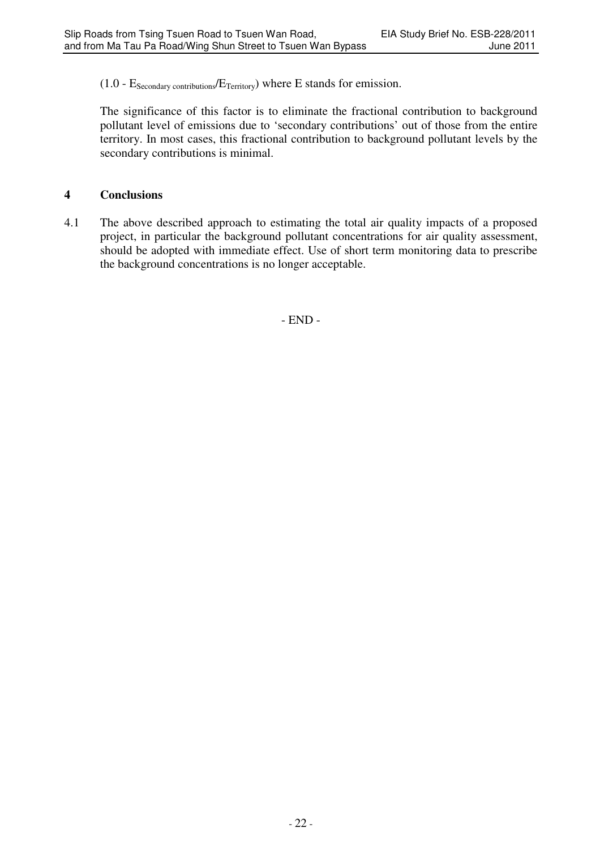# (1.0 -  $E_{\text{secondary contributions}}/E_{\text{Teritory}}$ ) where E stands for emission.

The significance of this factor is to eliminate the fractional contribution to background pollutant level of emissions due to 'secondary contributions' out of those from the entire territory. In most cases, this fractional contribution to background pollutant levels by the secondary contributions is minimal.

# **4 Conclusions**

4.1 The above described approach to estimating the total air quality impacts of a proposed project, in particular the background pollutant concentrations for air quality assessment, should be adopted with immediate effect. Use of short term monitoring data to prescribe the background concentrations is no longer acceptable.

- END -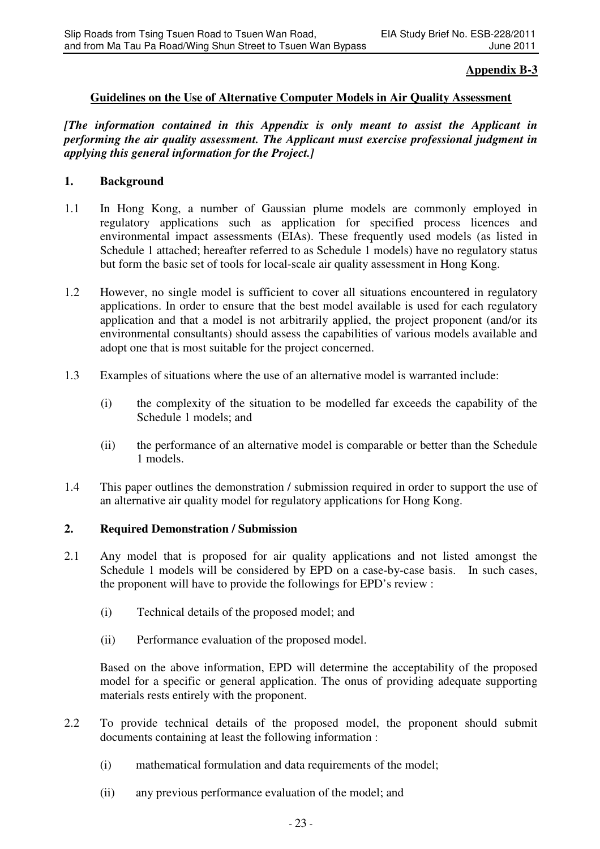## **Appendix B-3**

### **Guidelines on the Use of Alternative Computer Models in Air Quality Assessment**

*[The information contained in this Appendix is only meant to assist the Applicant in performing the air quality assessment. The Applicant must exercise professional judgment in applying this general information for the Project.]*

### **1. Background**

- 1.1 In Hong Kong, a number of Gaussian plume models are commonly employed in regulatory applications such as application for specified process licences and environmental impact assessments (EIAs). These frequently used models (as listed in Schedule 1 attached; hereafter referred to as Schedule 1 models) have no regulatory status but form the basic set of tools for local-scale air quality assessment in Hong Kong.
- 1.2 However, no single model is sufficient to cover all situations encountered in regulatory applications. In order to ensure that the best model available is used for each regulatory application and that a model is not arbitrarily applied, the project proponent (and/or its environmental consultants) should assess the capabilities of various models available and adopt one that is most suitable for the project concerned.
- 1.3 Examples of situations where the use of an alternative model is warranted include:
	- (i) the complexity of the situation to be modelled far exceeds the capability of the Schedule 1 models; and
	- (ii) the performance of an alternative model is comparable or better than the Schedule 1 models.
- 1.4 This paper outlines the demonstration / submission required in order to support the use of an alternative air quality model for regulatory applications for Hong Kong.

### **2. Required Demonstration / Submission**

- 2.1 Any model that is proposed for air quality applications and not listed amongst the Schedule 1 models will be considered by EPD on a case-by-case basis. In such cases, the proponent will have to provide the followings for EPD's review :
	- (i) Technical details of the proposed model; and
	- (ii) Performance evaluation of the proposed model.

Based on the above information, EPD will determine the acceptability of the proposed model for a specific or general application. The onus of providing adequate supporting materials rests entirely with the proponent.

- 2.2 To provide technical details of the proposed model, the proponent should submit documents containing at least the following information :
	- (i) mathematical formulation and data requirements of the model;
	- (ii) any previous performance evaluation of the model; and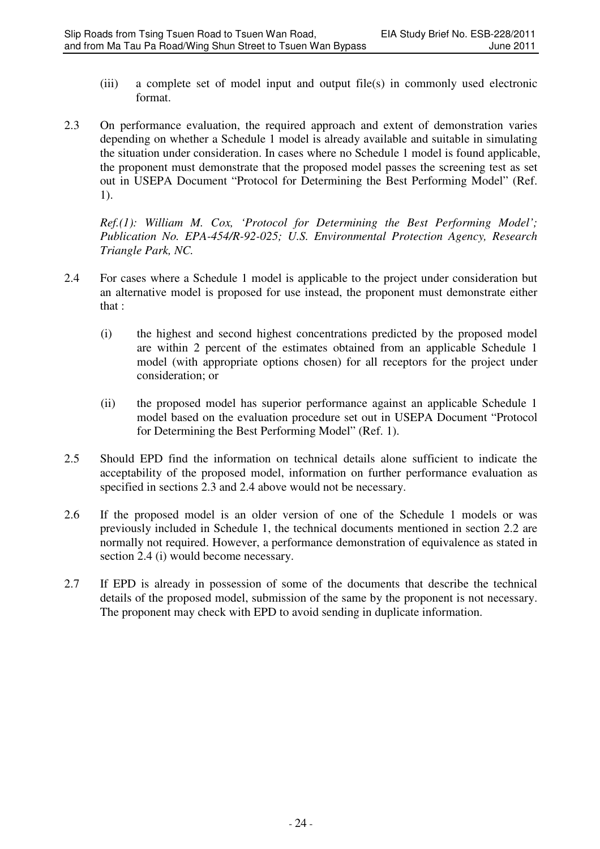- (iii) a complete set of model input and output file(s) in commonly used electronic format.
- 2.3 On performance evaluation, the required approach and extent of demonstration varies depending on whether a Schedule 1 model is already available and suitable in simulating the situation under consideration. In cases where no Schedule 1 model is found applicable, the proponent must demonstrate that the proposed model passes the screening test as set out in USEPA Document "Protocol for Determining the Best Performing Model" (Ref. 1).

*Ref.(1): William M. Cox, 'Protocol for Determining the Best Performing Model'; Publication No. EPA-454/R-92-025; U.S. Environmental Protection Agency, Research Triangle Park, NC.* 

- 2.4 For cases where a Schedule 1 model is applicable to the project under consideration but an alternative model is proposed for use instead, the proponent must demonstrate either that :
	- (i) the highest and second highest concentrations predicted by the proposed model are within 2 percent of the estimates obtained from an applicable Schedule 1 model (with appropriate options chosen) for all receptors for the project under consideration; or
	- (ii) the proposed model has superior performance against an applicable Schedule 1 model based on the evaluation procedure set out in USEPA Document "Protocol for Determining the Best Performing Model" (Ref. 1).
- 2.5 Should EPD find the information on technical details alone sufficient to indicate the acceptability of the proposed model, information on further performance evaluation as specified in sections 2.3 and 2.4 above would not be necessary.
- 2.6 If the proposed model is an older version of one of the Schedule 1 models or was previously included in Schedule 1, the technical documents mentioned in section 2.2 are normally not required. However, a performance demonstration of equivalence as stated in section 2.4 (i) would become necessary.
- 2.7 If EPD is already in possession of some of the documents that describe the technical details of the proposed model, submission of the same by the proponent is not necessary. The proponent may check with EPD to avoid sending in duplicate information.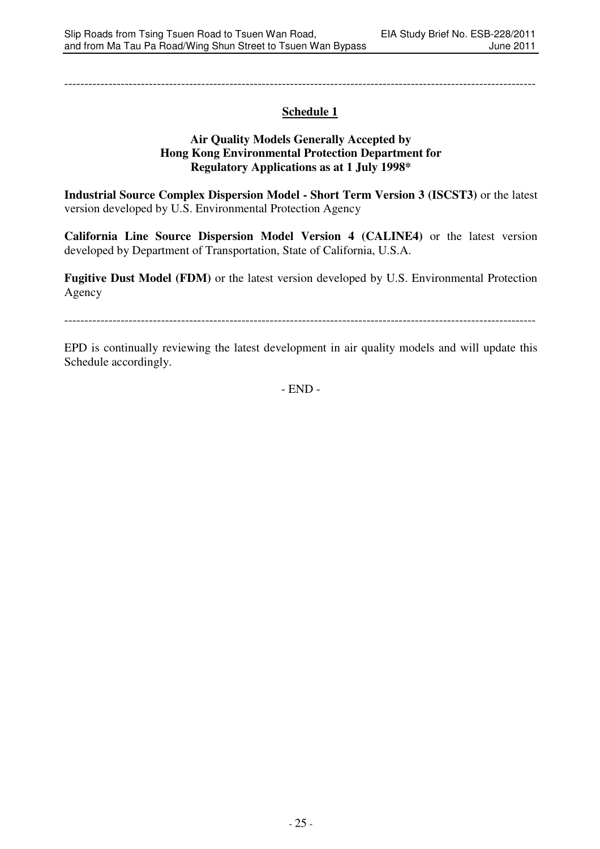---------------------------------------------------------------------------------------------------------------------

# **Schedule 1**

### **Air Quality Models Generally Accepted by Hong Kong Environmental Protection Department for Regulatory Applications as at 1 July 1998\***

**Industrial Source Complex Dispersion Model - Short Term Version 3 (ISCST3)** or the latest version developed by U.S. Environmental Protection Agency

**California Line Source Dispersion Model Version 4 (CALINE4)** or the latest version developed by Department of Transportation, State of California, U.S.A.

**Fugitive Dust Model (FDM)** or the latest version developed by U.S. Environmental Protection Agency

---------------------------------------------------------------------------------------------------------------------

EPD is continually reviewing the latest development in air quality models and will update this Schedule accordingly.

- END -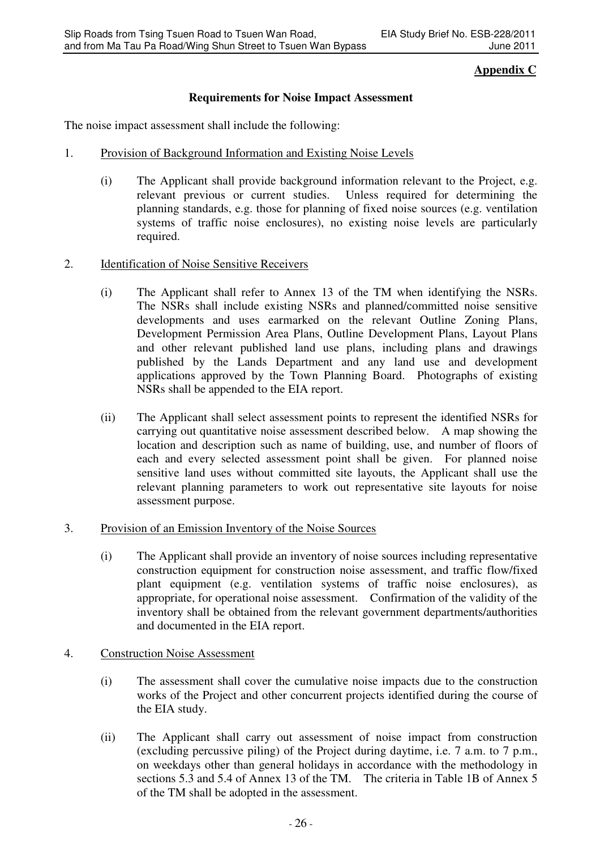# **Appendix C**

# **Requirements for Noise Impact Assessment**

The noise impact assessment shall include the following:

- 1. Provision of Background Information and Existing Noise Levels
	- (i) The Applicant shall provide background information relevant to the Project, e.g. relevant previous or current studies. Unless required for determining the planning standards, e.g. those for planning of fixed noise sources (e.g. ventilation systems of traffic noise enclosures), no existing noise levels are particularly required.
- 2. Identification of Noise Sensitive Receivers
	- (i) The Applicant shall refer to Annex 13 of the TM when identifying the NSRs. The NSRs shall include existing NSRs and planned/committed noise sensitive developments and uses earmarked on the relevant Outline Zoning Plans, Development Permission Area Plans, Outline Development Plans, Layout Plans and other relevant published land use plans, including plans and drawings published by the Lands Department and any land use and development applications approved by the Town Planning Board. Photographs of existing NSRs shall be appended to the EIA report.
	- (ii) The Applicant shall select assessment points to represent the identified NSRs for carrying out quantitative noise assessment described below. A map showing the location and description such as name of building, use, and number of floors of each and every selected assessment point shall be given. For planned noise sensitive land uses without committed site layouts, the Applicant shall use the relevant planning parameters to work out representative site layouts for noise assessment purpose.
- 3. Provision of an Emission Inventory of the Noise Sources
	- (i) The Applicant shall provide an inventory of noise sources including representative construction equipment for construction noise assessment, and traffic flow/fixed plant equipment (e.g. ventilation systems of traffic noise enclosures), as appropriate, for operational noise assessment. Confirmation of the validity of the inventory shall be obtained from the relevant government departments/authorities and documented in the EIA report.
- 4. Construction Noise Assessment
	- (i) The assessment shall cover the cumulative noise impacts due to the construction works of the Project and other concurrent projects identified during the course of the EIA study.
	- (ii) The Applicant shall carry out assessment of noise impact from construction (excluding percussive piling) of the Project during daytime, i.e. 7 a.m. to 7 p.m., on weekdays other than general holidays in accordance with the methodology in sections 5.3 and 5.4 of Annex 13 of the TM. The criteria in Table 1B of Annex 5 of the TM shall be adopted in the assessment.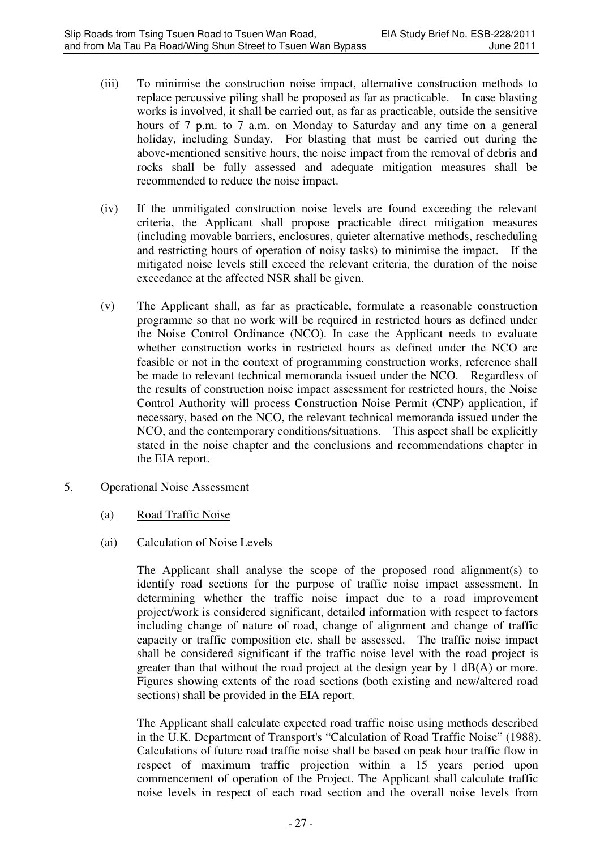- (iii) To minimise the construction noise impact, alternative construction methods to replace percussive piling shall be proposed as far as practicable. In case blasting works is involved, it shall be carried out, as far as practicable, outside the sensitive hours of 7 p.m. to 7 a.m. on Monday to Saturday and any time on a general holiday, including Sunday. For blasting that must be carried out during the above-mentioned sensitive hours, the noise impact from the removal of debris and rocks shall be fully assessed and adequate mitigation measures shall be recommended to reduce the noise impact.
- (iv) If the unmitigated construction noise levels are found exceeding the relevant criteria, the Applicant shall propose practicable direct mitigation measures (including movable barriers, enclosures, quieter alternative methods, rescheduling and restricting hours of operation of noisy tasks) to minimise the impact. If the mitigated noise levels still exceed the relevant criteria, the duration of the noise exceedance at the affected NSR shall be given.
- (v) The Applicant shall, as far as practicable, formulate a reasonable construction programme so that no work will be required in restricted hours as defined under the Noise Control Ordinance (NCO). In case the Applicant needs to evaluate whether construction works in restricted hours as defined under the NCO are feasible or not in the context of programming construction works, reference shall be made to relevant technical memoranda issued under the NCO. Regardless of the results of construction noise impact assessment for restricted hours, the Noise Control Authority will process Construction Noise Permit (CNP) application, if necessary, based on the NCO, the relevant technical memoranda issued under the NCO, and the contemporary conditions/situations. This aspect shall be explicitly stated in the noise chapter and the conclusions and recommendations chapter in the EIA report.
- 5. Operational Noise Assessment
	- (a) Road Traffic Noise
	- (ai) Calculation of Noise Levels

The Applicant shall analyse the scope of the proposed road alignment(s) to identify road sections for the purpose of traffic noise impact assessment. In determining whether the traffic noise impact due to a road improvement project/work is considered significant, detailed information with respect to factors including change of nature of road, change of alignment and change of traffic capacity or traffic composition etc. shall be assessed. The traffic noise impact shall be considered significant if the traffic noise level with the road project is greater than that without the road project at the design year by 1 dB(A) or more. Figures showing extents of the road sections (both existing and new/altered road sections) shall be provided in the EIA report.

The Applicant shall calculate expected road traffic noise using methods described in the U.K. Department of Transport's "Calculation of Road Traffic Noise" (1988). Calculations of future road traffic noise shall be based on peak hour traffic flow in respect of maximum traffic projection within a 15 years period upon commencement of operation of the Project. The Applicant shall calculate traffic noise levels in respect of each road section and the overall noise levels from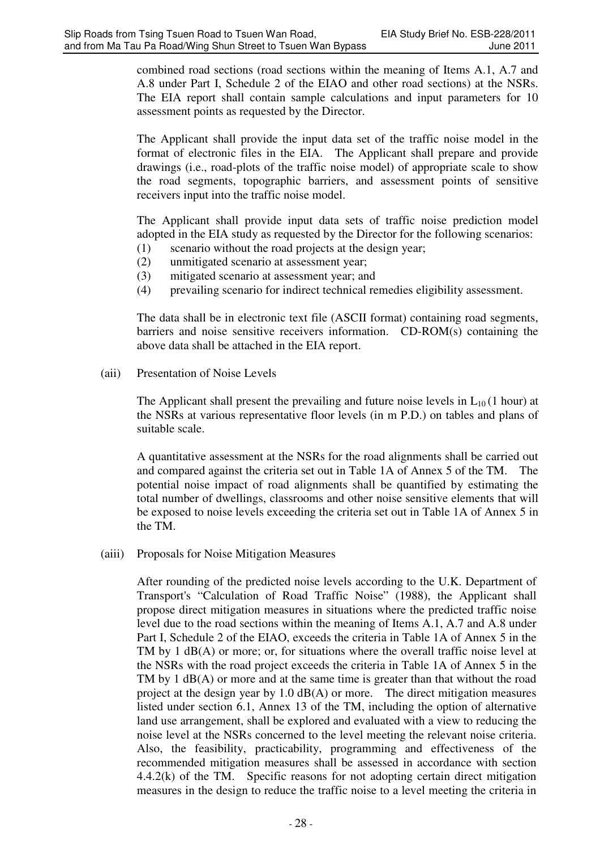combined road sections (road sections within the meaning of Items A.1, A.7 and A.8 under Part I, Schedule 2 of the EIAO and other road sections) at the NSRs. The EIA report shall contain sample calculations and input parameters for 10 assessment points as requested by the Director.

The Applicant shall provide the input data set of the traffic noise model in the format of electronic files in the EIA. The Applicant shall prepare and provide drawings (i.e., road-plots of the traffic noise model) of appropriate scale to show the road segments, topographic barriers, and assessment points of sensitive receivers input into the traffic noise model.

The Applicant shall provide input data sets of traffic noise prediction model adopted in the EIA study as requested by the Director for the following scenarios:

- (1) scenario without the road projects at the design year;
- (2) unmitigated scenario at assessment year;
- (3) mitigated scenario at assessment year; and
- (4) prevailing scenario for indirect technical remedies eligibility assessment.

The data shall be in electronic text file (ASCII format) containing road segments, barriers and noise sensitive receivers information. CD-ROM(s) containing the above data shall be attached in the EIA report.

(aii) Presentation of Noise Levels

The Applicant shall present the prevailing and future noise levels in  $L_{10}$  (1 hour) at the NSRs at various representative floor levels (in m P.D.) on tables and plans of suitable scale.

A quantitative assessment at the NSRs for the road alignments shall be carried out and compared against the criteria set out in Table 1A of Annex 5 of the TM. The potential noise impact of road alignments shall be quantified by estimating the total number of dwellings, classrooms and other noise sensitive elements that will be exposed to noise levels exceeding the criteria set out in Table 1A of Annex 5 in the TM.

(aiii) Proposals for Noise Mitigation Measures

After rounding of the predicted noise levels according to the U.K. Department of Transport's "Calculation of Road Traffic Noise" (1988), the Applicant shall propose direct mitigation measures in situations where the predicted traffic noise level due to the road sections within the meaning of Items A.1, A.7 and A.8 under Part I, Schedule 2 of the EIAO, exceeds the criteria in Table 1A of Annex 5 in the TM by 1 dB(A) or more; or, for situations where the overall traffic noise level at the NSRs with the road project exceeds the criteria in Table 1A of Annex 5 in the TM by 1 dB(A) or more and at the same time is greater than that without the road project at the design year by  $1.0 \text{ dB}(A)$  or more. The direct mitigation measures listed under section 6.1, Annex 13 of the TM, including the option of alternative land use arrangement, shall be explored and evaluated with a view to reducing the noise level at the NSRs concerned to the level meeting the relevant noise criteria. Also, the feasibility, practicability, programming and effectiveness of the recommended mitigation measures shall be assessed in accordance with section 4.4.2(k) of the TM. Specific reasons for not adopting certain direct mitigation measures in the design to reduce the traffic noise to a level meeting the criteria in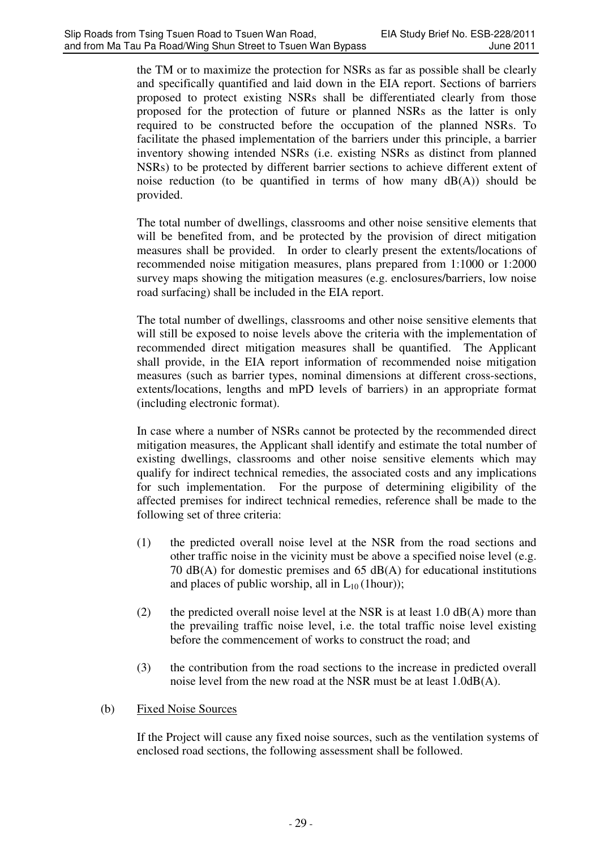the TM or to maximize the protection for NSRs as far as possible shall be clearly and specifically quantified and laid down in the EIA report. Sections of barriers proposed to protect existing NSRs shall be differentiated clearly from those proposed for the protection of future or planned NSRs as the latter is only required to be constructed before the occupation of the planned NSRs. To facilitate the phased implementation of the barriers under this principle, a barrier inventory showing intended NSRs (i.e. existing NSRs as distinct from planned NSRs) to be protected by different barrier sections to achieve different extent of noise reduction (to be quantified in terms of how many  $dB(A)$ ) should be provided.

The total number of dwellings, classrooms and other noise sensitive elements that will be benefited from, and be protected by the provision of direct mitigation measures shall be provided. In order to clearly present the extents/locations of recommended noise mitigation measures, plans prepared from 1:1000 or 1:2000 survey maps showing the mitigation measures (e.g. enclosures/barriers, low noise road surfacing) shall be included in the EIA report.

The total number of dwellings, classrooms and other noise sensitive elements that will still be exposed to noise levels above the criteria with the implementation of recommended direct mitigation measures shall be quantified. The Applicant shall provide, in the EIA report information of recommended noise mitigation measures (such as barrier types, nominal dimensions at different cross-sections, extents/locations, lengths and mPD levels of barriers) in an appropriate format (including electronic format).

In case where a number of NSRs cannot be protected by the recommended direct mitigation measures, the Applicant shall identify and estimate the total number of existing dwellings, classrooms and other noise sensitive elements which may qualify for indirect technical remedies, the associated costs and any implications for such implementation. For the purpose of determining eligibility of the affected premises for indirect technical remedies, reference shall be made to the following set of three criteria:

- (1) the predicted overall noise level at the NSR from the road sections and other traffic noise in the vicinity must be above a specified noise level (e.g. 70 dB(A) for domestic premises and 65 dB(A) for educational institutions and places of public worship, all in  $L_{10}$  (1hour));
- (2) the predicted overall noise level at the NSR is at least  $1.0 \text{ dB}(A)$  more than the prevailing traffic noise level, i.e. the total traffic noise level existing before the commencement of works to construct the road; and
- (3) the contribution from the road sections to the increase in predicted overall noise level from the new road at the NSR must be at least 1.0dB(A).

# (b) Fixed Noise Sources

 If the Project will cause any fixed noise sources, such as the ventilation systems of enclosed road sections, the following assessment shall be followed.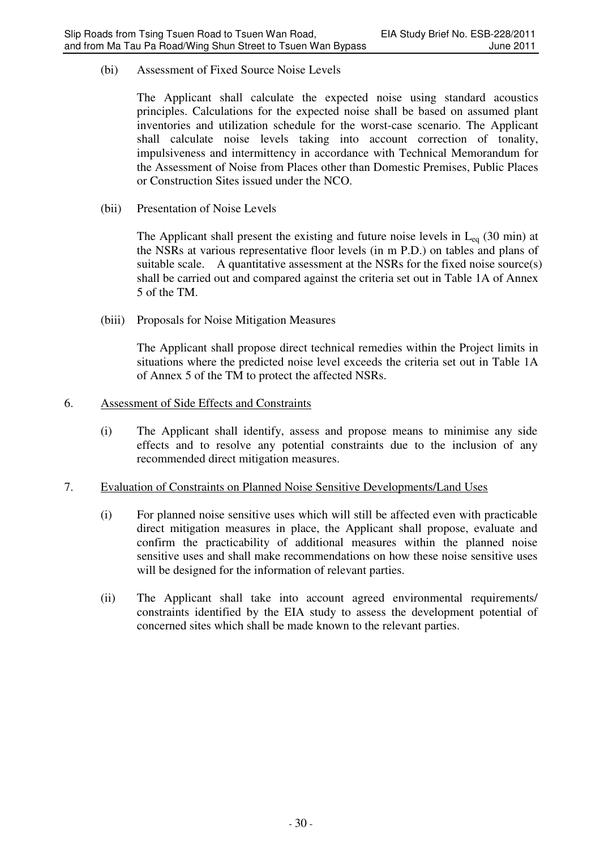(bi) Assessment of Fixed Source Noise Levels

The Applicant shall calculate the expected noise using standard acoustics principles. Calculations for the expected noise shall be based on assumed plant inventories and utilization schedule for the worst-case scenario. The Applicant shall calculate noise levels taking into account correction of tonality, impulsiveness and intermittency in accordance with Technical Memorandum for the Assessment of Noise from Places other than Domestic Premises, Public Places or Construction Sites issued under the NCO.

(bii) Presentation of Noise Levels

The Applicant shall present the existing and future noise levels in  $L_{eq}$  (30 min) at the NSRs at various representative floor levels (in m P.D.) on tables and plans of suitable scale. A quantitative assessment at the NSRs for the fixed noise source(s) shall be carried out and compared against the criteria set out in Table 1A of Annex 5 of the TM.

(biii) Proposals for Noise Mitigation Measures

The Applicant shall propose direct technical remedies within the Project limits in situations where the predicted noise level exceeds the criteria set out in Table 1A of Annex 5 of the TM to protect the affected NSRs.

### 6. Assessment of Side Effects and Constraints

(i) The Applicant shall identify, assess and propose means to minimise any side effects and to resolve any potential constraints due to the inclusion of any recommended direct mitigation measures.

### 7. Evaluation of Constraints on Planned Noise Sensitive Developments/Land Uses

- (i) For planned noise sensitive uses which will still be affected even with practicable direct mitigation measures in place, the Applicant shall propose, evaluate and confirm the practicability of additional measures within the planned noise sensitive uses and shall make recommendations on how these noise sensitive uses will be designed for the information of relevant parties.
- (ii) The Applicant shall take into account agreed environmental requirements/ constraints identified by the EIA study to assess the development potential of concerned sites which shall be made known to the relevant parties.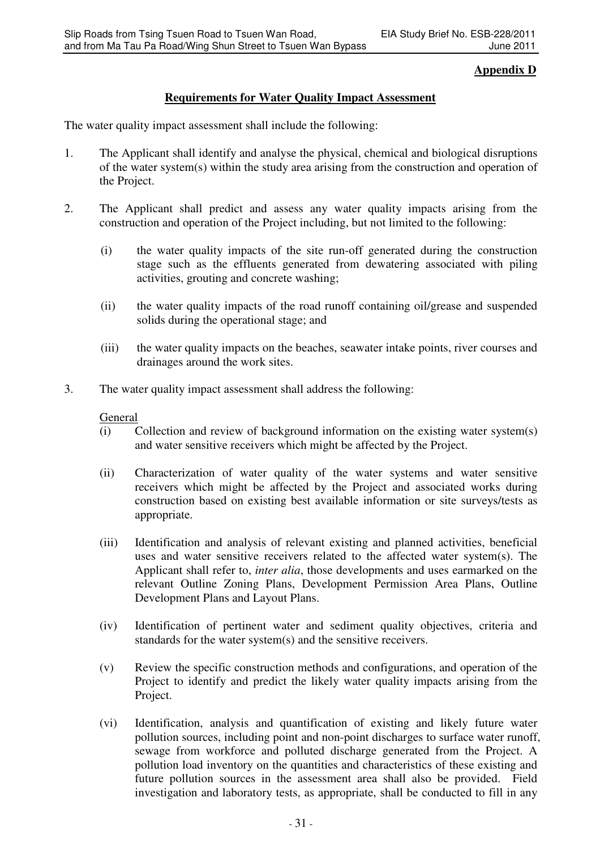# **Appendix D**

# **Requirements for Water Quality Impact Assessment**

The water quality impact assessment shall include the following:

- 1. The Applicant shall identify and analyse the physical, chemical and biological disruptions of the water system(s) within the study area arising from the construction and operation of the Project.
- 2. The Applicant shall predict and assess any water quality impacts arising from the construction and operation of the Project including, but not limited to the following:
	- (i) the water quality impacts of the site run-off generated during the construction stage such as the effluents generated from dewatering associated with piling activities, grouting and concrete washing;
	- (ii) the water quality impacts of the road runoff containing oil/grease and suspended solids during the operational stage; and
	- (iii) the water quality impacts on the beaches, seawater intake points, river courses and drainages around the work sites.
- 3. The water quality impact assessment shall address the following:

### **General**

- (i) Collection and review of background information on the existing water system(s) and water sensitive receivers which might be affected by the Project.
- (ii) Characterization of water quality of the water systems and water sensitive receivers which might be affected by the Project and associated works during construction based on existing best available information or site surveys/tests as appropriate.
- (iii) Identification and analysis of relevant existing and planned activities, beneficial uses and water sensitive receivers related to the affected water system(s). The Applicant shall refer to, *inter alia*, those developments and uses earmarked on the relevant Outline Zoning Plans, Development Permission Area Plans, Outline Development Plans and Layout Plans.
- (iv) Identification of pertinent water and sediment quality objectives, criteria and standards for the water system(s) and the sensitive receivers.
- (v) Review the specific construction methods and configurations, and operation of the Project to identify and predict the likely water quality impacts arising from the Project.
- (vi) Identification, analysis and quantification of existing and likely future water pollution sources, including point and non-point discharges to surface water runoff, sewage from workforce and polluted discharge generated from the Project. A pollution load inventory on the quantities and characteristics of these existing and future pollution sources in the assessment area shall also be provided. Field investigation and laboratory tests, as appropriate, shall be conducted to fill in any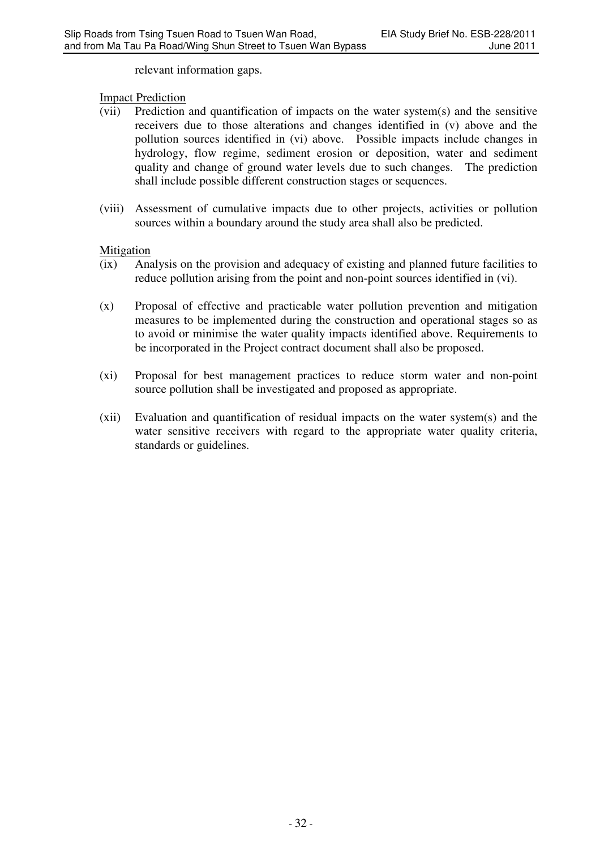relevant information gaps.

### Impact Prediction

- (vii) Prediction and quantification of impacts on the water system(s) and the sensitive receivers due to those alterations and changes identified in (v) above and the pollution sources identified in (vi) above. Possible impacts include changes in hydrology, flow regime, sediment erosion or deposition, water and sediment quality and change of ground water levels due to such changes. The prediction shall include possible different construction stages or sequences.
- (viii) Assessment of cumulative impacts due to other projects, activities or pollution sources within a boundary around the study area shall also be predicted.

### Mitigation

- (ix) Analysis on the provision and adequacy of existing and planned future facilities to reduce pollution arising from the point and non-point sources identified in (vi).
- (x) Proposal of effective and practicable water pollution prevention and mitigation measures to be implemented during the construction and operational stages so as to avoid or minimise the water quality impacts identified above. Requirements to be incorporated in the Project contract document shall also be proposed.
- (xi) Proposal for best management practices to reduce storm water and non-point source pollution shall be investigated and proposed as appropriate.
- (xii) Evaluation and quantification of residual impacts on the water system(s) and the water sensitive receivers with regard to the appropriate water quality criteria, standards or guidelines.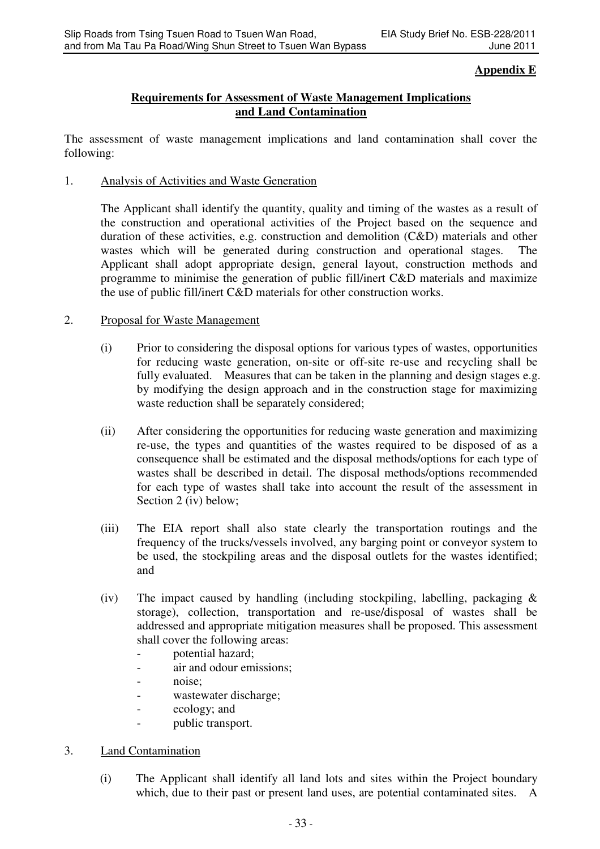### **Appendix E**

## **Requirements for Assessment of Waste Management Implications and Land Contamination**

The assessment of waste management implications and land contamination shall cover the following:

1. Analysis of Activities and Waste Generation

The Applicant shall identify the quantity, quality and timing of the wastes as a result of the construction and operational activities of the Project based on the sequence and duration of these activities, e.g. construction and demolition (C&D) materials and other wastes which will be generated during construction and operational stages. The Applicant shall adopt appropriate design, general layout, construction methods and programme to minimise the generation of public fill/inert C&D materials and maximize the use of public fill/inert C&D materials for other construction works.

### 2. Proposal for Waste Management

- (i) Prior to considering the disposal options for various types of wastes, opportunities for reducing waste generation, on-site or off-site re-use and recycling shall be fully evaluated. Measures that can be taken in the planning and design stages e.g. by modifying the design approach and in the construction stage for maximizing waste reduction shall be separately considered;
- (ii) After considering the opportunities for reducing waste generation and maximizing re-use, the types and quantities of the wastes required to be disposed of as a consequence shall be estimated and the disposal methods/options for each type of wastes shall be described in detail. The disposal methods/options recommended for each type of wastes shall take into account the result of the assessment in Section 2 (iv) below;
- (iii) The EIA report shall also state clearly the transportation routings and the frequency of the trucks/vessels involved, any barging point or conveyor system to be used, the stockpiling areas and the disposal outlets for the wastes identified; and
- (iv) The impact caused by handling (including stockpiling, labelling, packaging  $\&$ storage), collection, transportation and re-use/disposal of wastes shall be addressed and appropriate mitigation measures shall be proposed. This assessment shall cover the following areas:
	- potential hazard;
	- air and odour emissions;
	- noise;
	- wastewater discharge;
	- ecology; and
	- public transport.
- 3. Land Contamination
	- (i) The Applicant shall identify all land lots and sites within the Project boundary which, due to their past or present land uses, are potential contaminated sites. A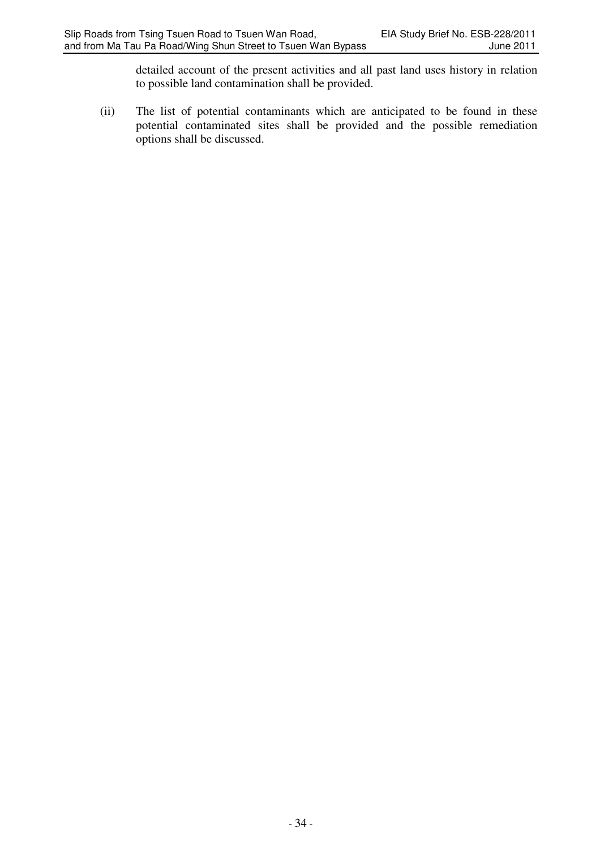detailed account of the present activities and all past land uses history in relation to possible land contamination shall be provided.

(ii) The list of potential contaminants which are anticipated to be found in these potential contaminated sites shall be provided and the possible remediation options shall be discussed.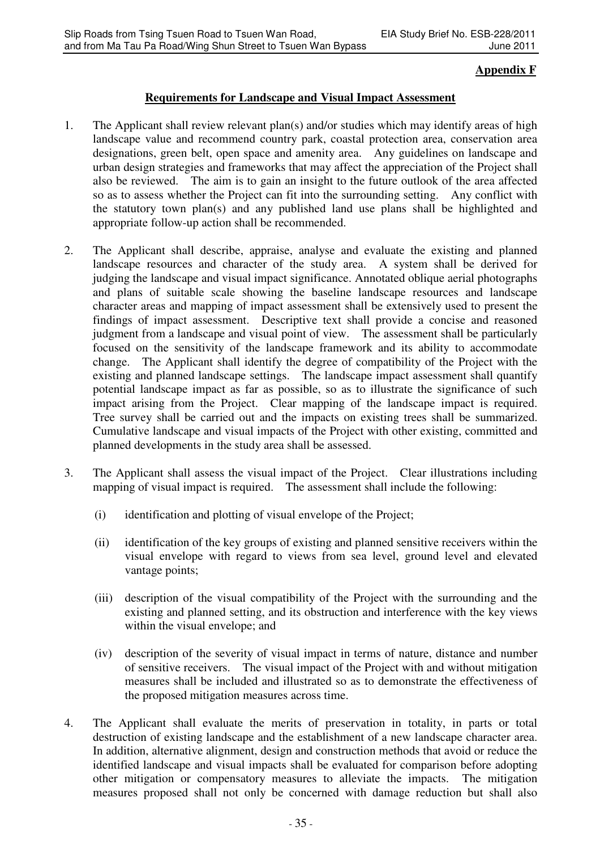# **Appendix F**

## **Requirements for Landscape and Visual Impact Assessment**

- 1. The Applicant shall review relevant plan(s) and/or studies which may identify areas of high landscape value and recommend country park, coastal protection area, conservation area designations, green belt, open space and amenity area. Any guidelines on landscape and urban design strategies and frameworks that may affect the appreciation of the Project shall also be reviewed. The aim is to gain an insight to the future outlook of the area affected so as to assess whether the Project can fit into the surrounding setting. Any conflict with the statutory town plan(s) and any published land use plans shall be highlighted and appropriate follow-up action shall be recommended.
- 2. The Applicant shall describe, appraise, analyse and evaluate the existing and planned landscape resources and character of the study area. A system shall be derived for judging the landscape and visual impact significance. Annotated oblique aerial photographs and plans of suitable scale showing the baseline landscape resources and landscape character areas and mapping of impact assessment shall be extensively used to present the findings of impact assessment. Descriptive text shall provide a concise and reasoned judgment from a landscape and visual point of view. The assessment shall be particularly focused on the sensitivity of the landscape framework and its ability to accommodate change. The Applicant shall identify the degree of compatibility of the Project with the existing and planned landscape settings. The landscape impact assessment shall quantify potential landscape impact as far as possible, so as to illustrate the significance of such impact arising from the Project. Clear mapping of the landscape impact is required. Tree survey shall be carried out and the impacts on existing trees shall be summarized. Cumulative landscape and visual impacts of the Project with other existing, committed and planned developments in the study area shall be assessed.
- 3. The Applicant shall assess the visual impact of the Project. Clear illustrations including mapping of visual impact is required. The assessment shall include the following:
	- (i) identification and plotting of visual envelope of the Project;
	- (ii) identification of the key groups of existing and planned sensitive receivers within the visual envelope with regard to views from sea level, ground level and elevated vantage points;
	- (iii) description of the visual compatibility of the Project with the surrounding and the existing and planned setting, and its obstruction and interference with the key views within the visual envelope; and
	- (iv) description of the severity of visual impact in terms of nature, distance and number of sensitive receivers. The visual impact of the Project with and without mitigation measures shall be included and illustrated so as to demonstrate the effectiveness of the proposed mitigation measures across time.
- 4. The Applicant shall evaluate the merits of preservation in totality, in parts or total destruction of existing landscape and the establishment of a new landscape character area. In addition, alternative alignment, design and construction methods that avoid or reduce the identified landscape and visual impacts shall be evaluated for comparison before adopting other mitigation or compensatory measures to alleviate the impacts. The mitigation measures proposed shall not only be concerned with damage reduction but shall also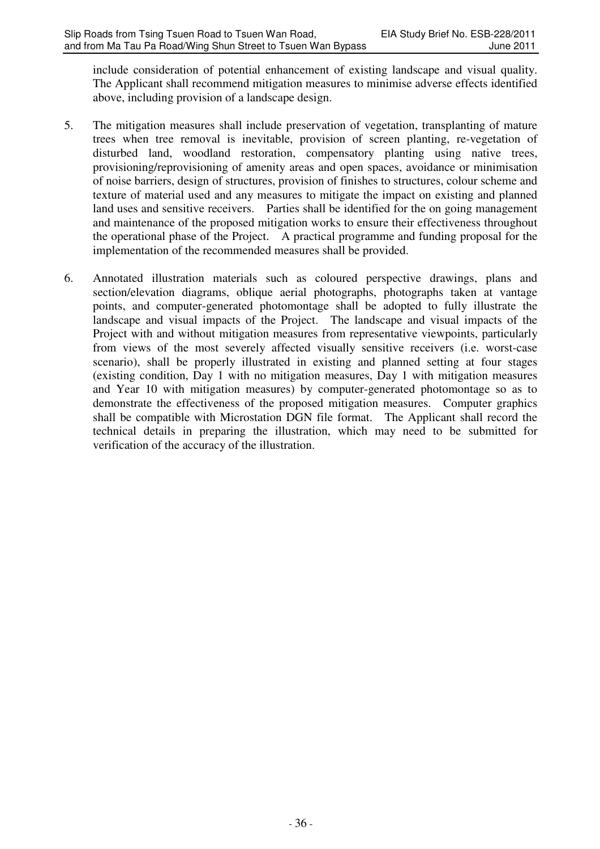include consideration of potential enhancement of existing landscape and visual quality. The Applicant shall recommend mitigation measures to minimise adverse effects identified above, including provision of a landscape design.

- 5. The mitigation measures shall include preservation of vegetation, transplanting of mature trees when tree removal is inevitable, provision of screen planting, re-vegetation of disturbed land, woodland restoration, compensatory planting using native trees, provisioning/reprovisioning of amenity areas and open spaces, avoidance or minimisation of noise barriers, design of structures, provision of finishes to structures, colour scheme and texture of material used and any measures to mitigate the impact on existing and planned land uses and sensitive receivers. Parties shall be identified for the on going management and maintenance of the proposed mitigation works to ensure their effectiveness throughout the operational phase of the Project. A practical programme and funding proposal for the implementation of the recommended measures shall be provided.
- 6. Annotated illustration materials such as coloured perspective drawings, plans and section/elevation diagrams, oblique aerial photographs, photographs taken at vantage points, and computer-generated photomontage shall be adopted to fully illustrate the landscape and visual impacts of the Project. The landscape and visual impacts of the Project with and without mitigation measures from representative viewpoints, particularly from views of the most severely affected visually sensitive receivers (i.e. worst-case scenario), shall be properly illustrated in existing and planned setting at four stages (existing condition, Day 1 with no mitigation measures, Day 1 with mitigation measures and Year 10 with mitigation measures) by computer-generated photomontage so as to demonstrate the effectiveness of the proposed mitigation measures. Computer graphics shall be compatible with Microstation DGN file format. The Applicant shall record the technical details in preparing the illustration, which may need to be submitted for verification of the accuracy of the illustration.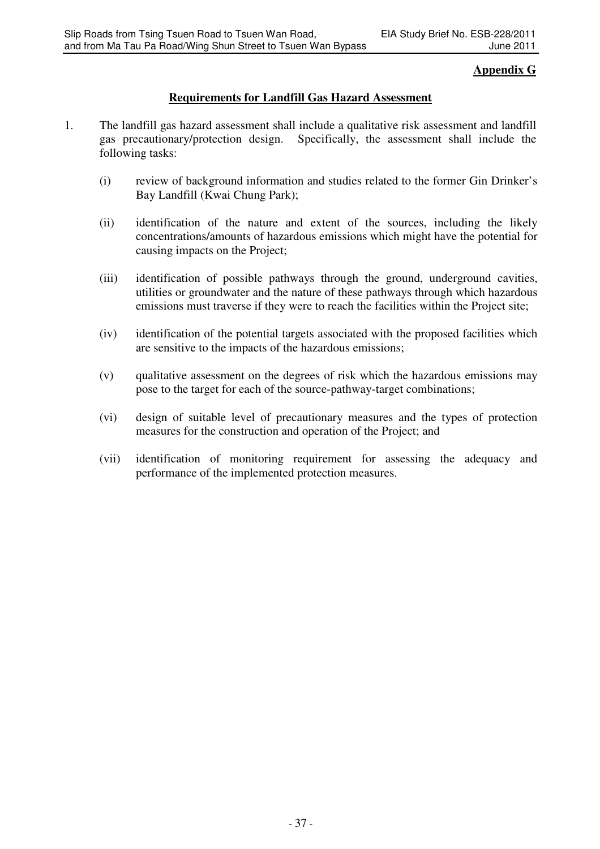## **Appendix G**

# **Requirements for Landfill Gas Hazard Assessment**

- 1. The landfill gas hazard assessment shall include a qualitative risk assessment and landfill gas precautionary/protection design. Specifically, the assessment shall include the following tasks:
	- (i) review of background information and studies related to the former Gin Drinker's Bay Landfill (Kwai Chung Park);
	- (ii) identification of the nature and extent of the sources, including the likely concentrations/amounts of hazardous emissions which might have the potential for causing impacts on the Project;
	- (iii) identification of possible pathways through the ground, underground cavities, utilities or groundwater and the nature of these pathways through which hazardous emissions must traverse if they were to reach the facilities within the Project site;
	- (iv) identification of the potential targets associated with the proposed facilities which are sensitive to the impacts of the hazardous emissions;
	- (v) qualitative assessment on the degrees of risk which the hazardous emissions may pose to the target for each of the source-pathway-target combinations;
	- (vi) design of suitable level of precautionary measures and the types of protection measures for the construction and operation of the Project; and
	- (vii) identification of monitoring requirement for assessing the adequacy and performance of the implemented protection measures.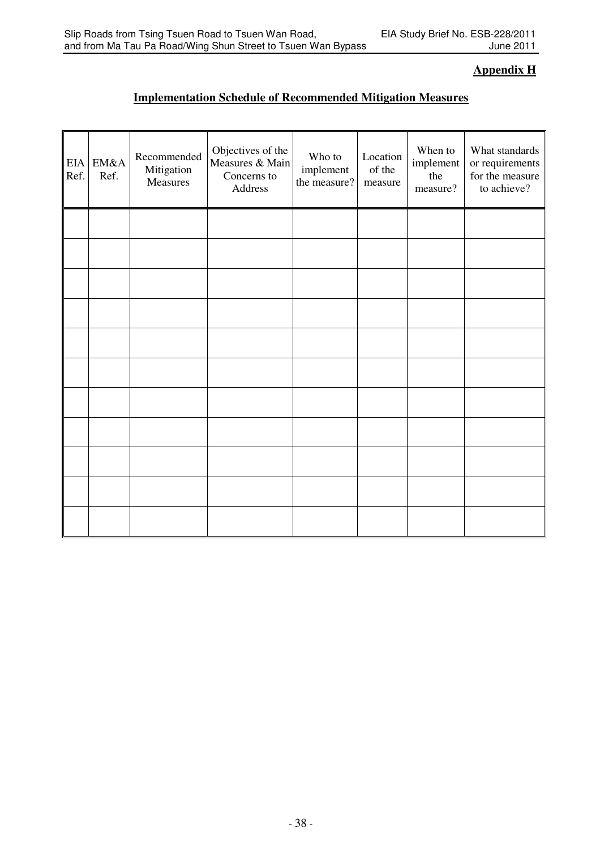# **Appendix H**

# **Implementation Schedule of Recommended Mitigation Measures**

| EIA<br>Ref. | EM&A<br>Ref. | Recommended<br>Mitigation<br>Measures | Objectives of the<br>Measures & Main<br>Concerns to<br>Address | Who to<br>implement<br>the measure? | Location<br>of the<br>measure | When to<br>implement<br>the<br>measure? | What standards<br>or requirements<br>for the measure<br>to achieve? |
|-------------|--------------|---------------------------------------|----------------------------------------------------------------|-------------------------------------|-------------------------------|-----------------------------------------|---------------------------------------------------------------------|
|             |              |                                       |                                                                |                                     |                               |                                         |                                                                     |
|             |              |                                       |                                                                |                                     |                               |                                         |                                                                     |
|             |              |                                       |                                                                |                                     |                               |                                         |                                                                     |
|             |              |                                       |                                                                |                                     |                               |                                         |                                                                     |
|             |              |                                       |                                                                |                                     |                               |                                         |                                                                     |
|             |              |                                       |                                                                |                                     |                               |                                         |                                                                     |
|             |              |                                       |                                                                |                                     |                               |                                         |                                                                     |
|             |              |                                       |                                                                |                                     |                               |                                         |                                                                     |
|             |              |                                       |                                                                |                                     |                               |                                         |                                                                     |
|             |              |                                       |                                                                |                                     |                               |                                         |                                                                     |
|             |              |                                       |                                                                |                                     |                               |                                         |                                                                     |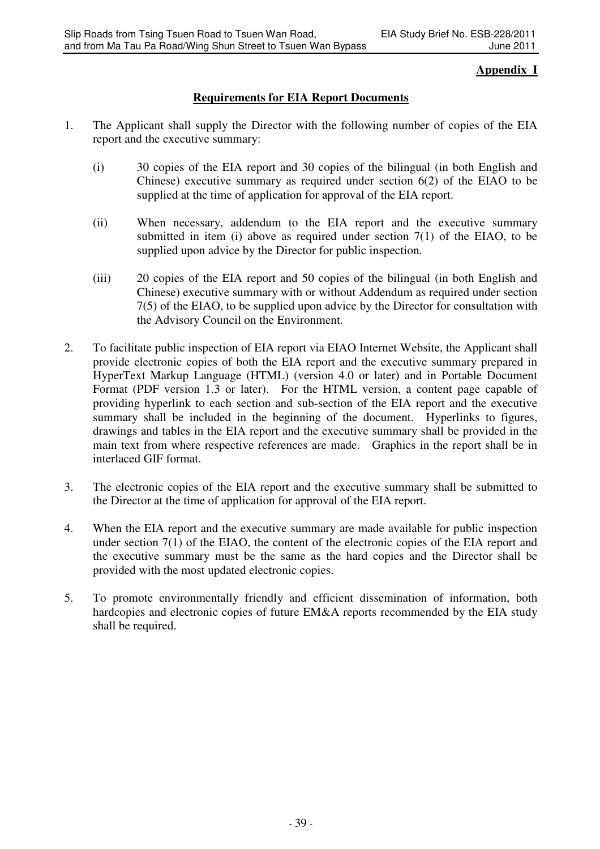# **Appendix I**

# **Requirements for EIA Report Documents**

- 1. The Applicant shall supply the Director with the following number of copies of the EIA report and the executive summary:
	- (i) 30 copies of the EIA report and 30 copies of the bilingual (in both English and Chinese) executive summary as required under section 6(2) of the EIAO to be supplied at the time of application for approval of the EIA report.
	- (ii) When necessary, addendum to the EIA report and the executive summary submitted in item (i) above as required under section  $7(1)$  of the EIAO, to be supplied upon advice by the Director for public inspection.
	- (iii) 20 copies of the EIA report and 50 copies of the bilingual (in both English and Chinese) executive summary with or without Addendum as required under section 7(5) of the EIAO, to be supplied upon advice by the Director for consultation with the Advisory Council on the Environment.
- 2. To facilitate public inspection of EIA report via EIAO Internet Website, the Applicant shall provide electronic copies of both the EIA report and the executive summary prepared in HyperText Markup Language (HTML) (version 4.0 or later) and in Portable Document Format (PDF version 1.3 or later). For the HTML version, a content page capable of providing hyperlink to each section and sub-section of the EIA report and the executive summary shall be included in the beginning of the document. Hyperlinks to figures, drawings and tables in the EIA report and the executive summary shall be provided in the main text from where respective references are made. Graphics in the report shall be in interlaced GIF format.
- 3. The electronic copies of the EIA report and the executive summary shall be submitted to the Director at the time of application for approval of the EIA report.
- 4. When the EIA report and the executive summary are made available for public inspection under section 7(1) of the EIAO, the content of the electronic copies of the EIA report and the executive summary must be the same as the hard copies and the Director shall be provided with the most updated electronic copies.
- 5. To promote environmentally friendly and efficient dissemination of information, both hardcopies and electronic copies of future EM&A reports recommended by the EIA study shall be required.